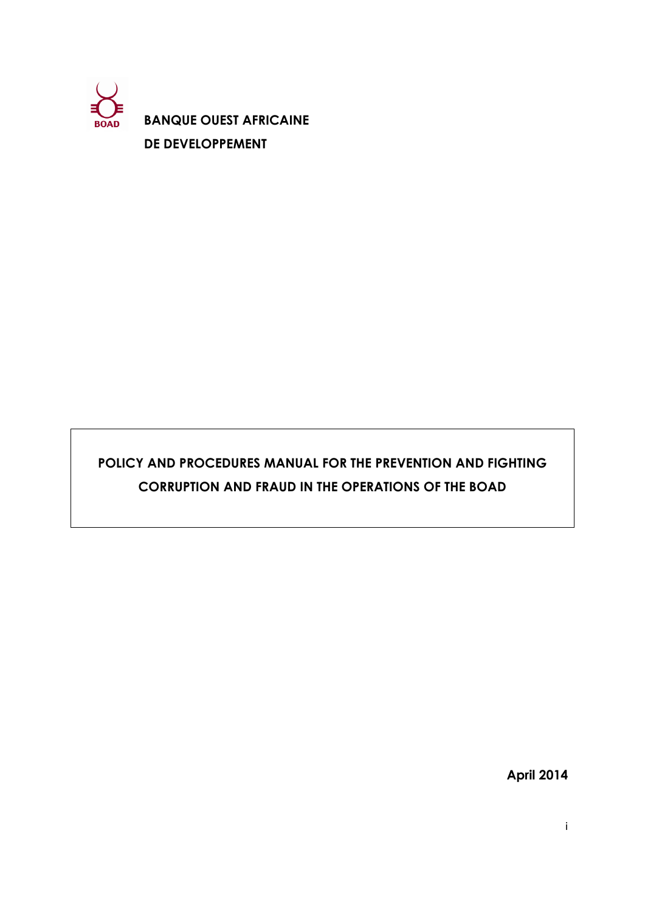

**BANQUE OUEST AFRICAINE DE DEVELOPPEMENT** 

# **POLICY AND PROCEDURES MANUAL FOR THE PREVENTION AND FIGHTING CORRUPTION AND FRAUD IN THE OPERATIONS OF THE BOAD**

**April 2014**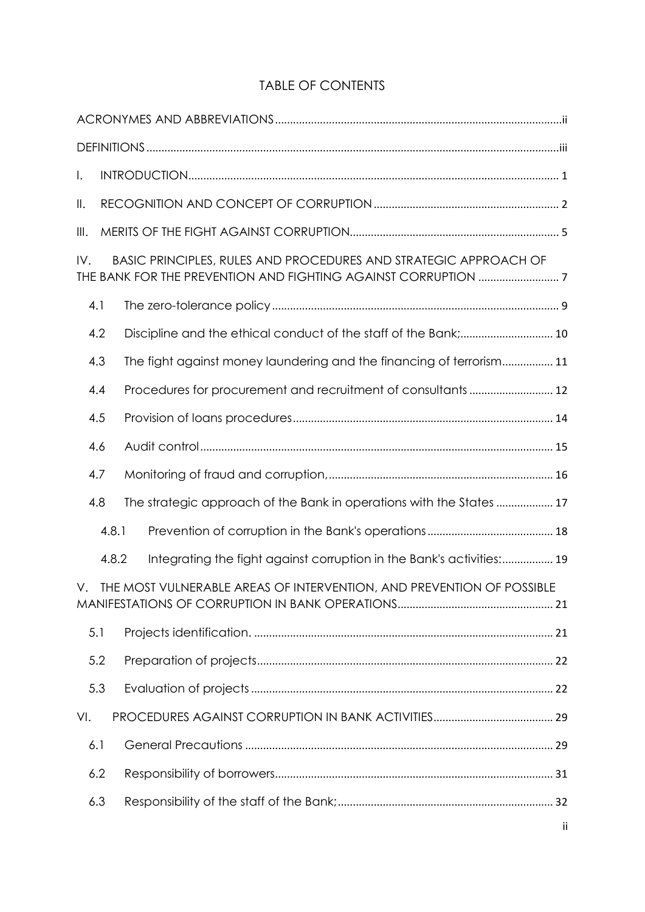# TABLE OF CONTENTS

| Ι.                                                                          |       |                                                                       |  |  |  |  |  |
|-----------------------------------------------------------------------------|-------|-----------------------------------------------------------------------|--|--|--|--|--|
| $\parallel$ .                                                               |       |                                                                       |  |  |  |  |  |
| III.                                                                        |       |                                                                       |  |  |  |  |  |
| BASIC PRINCIPLES, RULES AND PROCEDURES AND STRATEGIC APPROACH OF<br>IV.     |       |                                                                       |  |  |  |  |  |
| 4.1                                                                         |       |                                                                       |  |  |  |  |  |
| 4.2                                                                         |       |                                                                       |  |  |  |  |  |
| 4.3                                                                         |       | The fight against money laundering and the financing of terrorism 11  |  |  |  |  |  |
| 4.4                                                                         |       | Procedures for procurement and recruitment of consultants 12          |  |  |  |  |  |
| 4.5                                                                         |       |                                                                       |  |  |  |  |  |
| 4.6                                                                         |       |                                                                       |  |  |  |  |  |
| 4.7                                                                         |       |                                                                       |  |  |  |  |  |
| 4.8                                                                         |       | The strategic approach of the Bank in operations with the States  17  |  |  |  |  |  |
|                                                                             | 4.8.1 |                                                                       |  |  |  |  |  |
| 4.8.2                                                                       |       | Integrating the fight against corruption in the Bank's activities: 19 |  |  |  |  |  |
| THE MOST VULNERABLE AREAS OF INTERVENTION, AND PREVENTION OF POSSIBLE<br>V. |       |                                                                       |  |  |  |  |  |
| 5.1                                                                         |       |                                                                       |  |  |  |  |  |
| 5.2                                                                         |       |                                                                       |  |  |  |  |  |
| 5.3                                                                         |       |                                                                       |  |  |  |  |  |
| VI.                                                                         |       |                                                                       |  |  |  |  |  |
| 6.1<br>6.2                                                                  |       |                                                                       |  |  |  |  |  |
|                                                                             |       |                                                                       |  |  |  |  |  |
| 6.3                                                                         |       |                                                                       |  |  |  |  |  |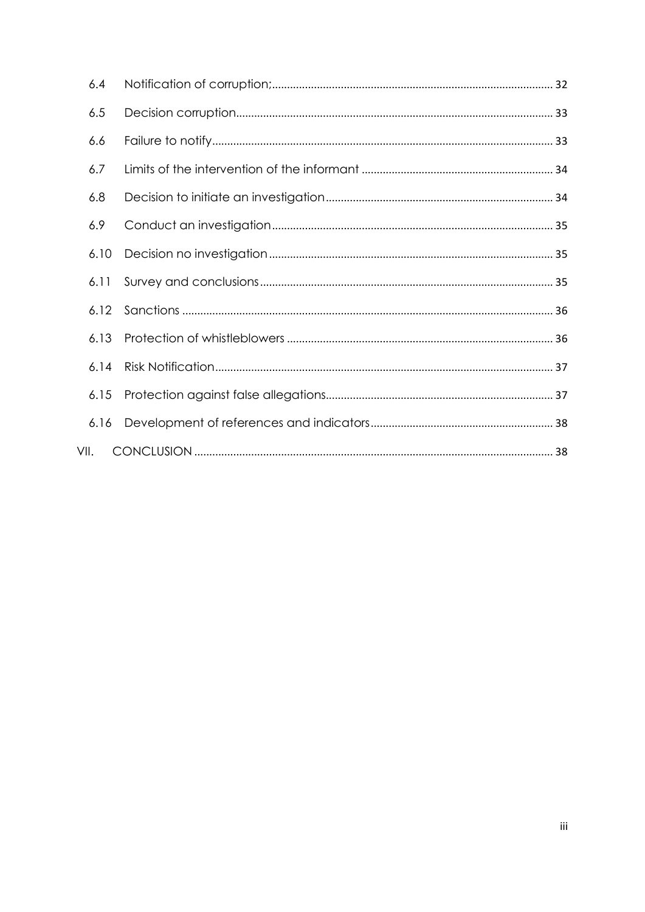|      | 6.4  |  |
|------|------|--|
|      | 6.5  |  |
|      | 6.6  |  |
|      | 6.7  |  |
|      | 6.8  |  |
|      | 6.9  |  |
|      | 6.10 |  |
|      | 6.11 |  |
|      | 6.12 |  |
|      | 6.13 |  |
|      | 6.14 |  |
|      | 6.15 |  |
|      | 6.16 |  |
| VII. |      |  |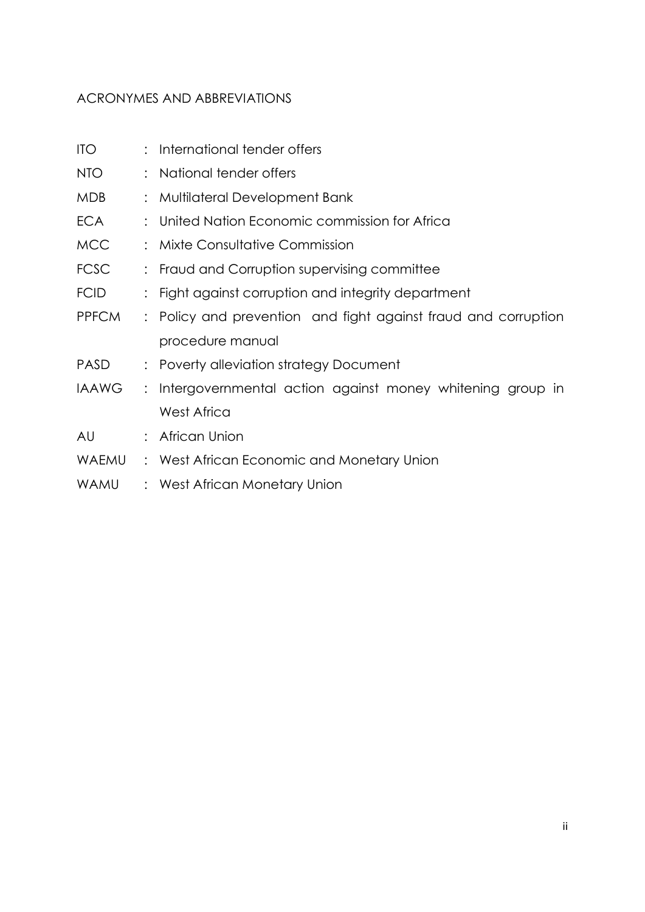# <span id="page-3-0"></span>ACRONYMES AND ABBREVIATIONS

| <b>ITO</b>   | : International tender offers                                  |
|--------------|----------------------------------------------------------------|
| NTO          | National tender offers                                         |
| <b>MDB</b>   | : Multilateral Development Bank                                |
| <b>ECA</b>   | United Nation Economic commission for Africa                   |
| <b>MCC</b>   | Mixte Consultative Commission                                  |
| <b>FCSC</b>  | Fraud and Corruption supervising committee                     |
| <b>FCID</b>  | : Fight against corruption and integrity department            |
| <b>PPFCM</b> | : Policy and prevention and fight against fraud and corruption |
|              | procedure manual                                               |
| <b>PASD</b>  | : Poverty alleviation strategy Document                        |
| <b>IAAWG</b> | : Intergovernmental action against money whitening group in    |
|              | <b>West Africa</b>                                             |
| AU           | : African Union                                                |
| <b>WAEMU</b> | : West African Economic and Monetary Union                     |
| WAMU         | : West African Monetary Union                                  |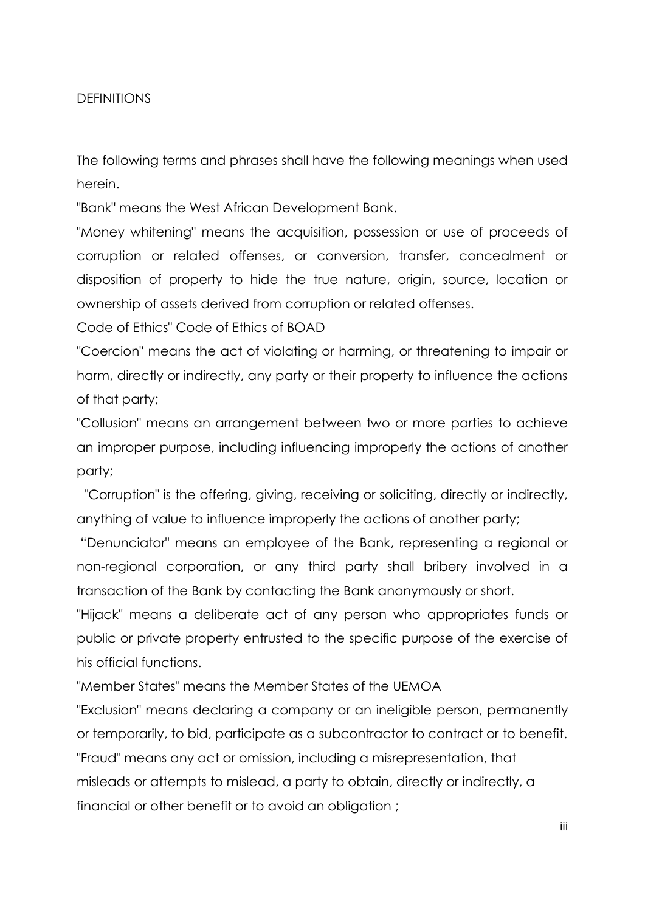### <span id="page-4-0"></span>DEFINITIONS

The following terms and phrases shall have the following meanings when used herein.

"Bank" means the West African Development Bank.

"Money whitening" means the acquisition, possession or use of proceeds of corruption or related offenses, or conversion, transfer, concealment or disposition of property to hide the true nature, origin, source, location or ownership of assets derived from corruption or related offenses.

Code of Ethics" Code of Ethics of BOAD

"Coercion" means the act of violating or harming, or threatening to impair or harm, directly or indirectly, any party or their property to influence the actions of that party;

"Collusion" means an arrangement between two or more parties to achieve an improper purpose, including influencing improperly the actions of another party;

"Corruption" is the offering, giving, receiving or soliciting, directly or indirectly, anything of value to influence improperly the actions of another party;

"Denunciator" means an employee of the Bank, representing a regional or non-regional corporation, or any third party shall bribery involved in a transaction of the Bank by contacting the Bank anonymously or short.

"Hijack" means a deliberate act of any person who appropriates funds or public or private property entrusted to the specific purpose of the exercise of his official functions.

"Member States" means the Member States of the UEMOA

"Exclusion" means declaring a company or an ineligible person, permanently or temporarily, to bid, participate as a subcontractor to contract or to benefit. "Fraud" means any act or omission, including a misrepresentation, that misleads or attempts to mislead, a party to obtain, directly or indirectly, a financial or other benefit or to avoid an obligation ;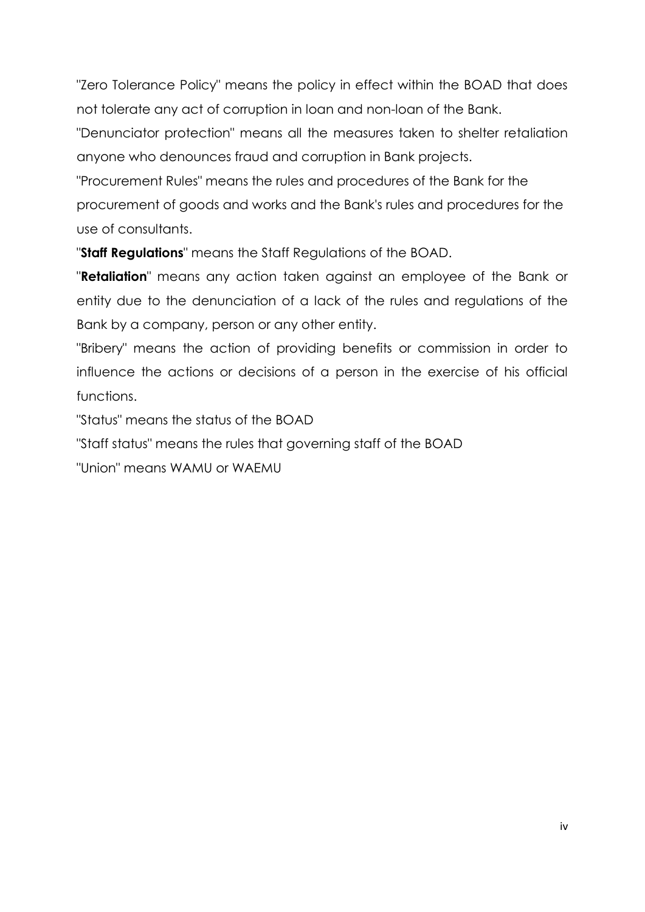"Zero Tolerance Policy" means the policy in effect within the BOAD that does not tolerate any act of corruption in loan and non-loan of the Bank.

"Denunciator protection" means all the measures taken to shelter retaliation anyone who denounces fraud and corruption in Bank projects.

"Procurement Rules" means the rules and procedures of the Bank for the procurement of goods and works and the Bank's rules and procedures for the use of consultants.

"**Staff Regulations**" means the Staff Regulations of the BOAD.

"**Retaliation**" means any action taken against an employee of the Bank or entity due to the denunciation of a lack of the rules and regulations of the Bank by a company, person or any other entity.

"Bribery" means the action of providing benefits or commission in order to influence the actions or decisions of a person in the exercise of his official functions.

"Status" means the status of the BOAD

"Staff status" means the rules that governing staff of the BOAD

"Union" means WAMU or WAEMU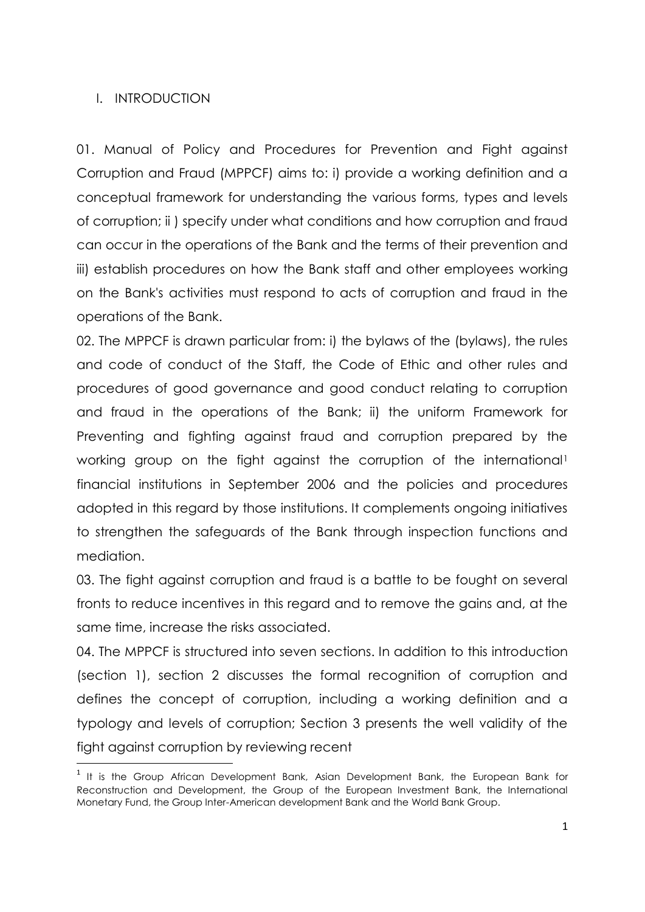### <span id="page-6-0"></span>I. INTRODUCTION

**.** 

01. Manual of Policy and Procedures for Prevention and Fight against Corruption and Fraud (MPPCF) aims to: i) provide a working definition and a conceptual framework for understanding the various forms, types and levels of corruption; ii ) specify under what conditions and how corruption and fraud can occur in the operations of the Bank and the terms of their prevention and iii) establish procedures on how the Bank staff and other employees working on the Bank's activities must respond to acts of corruption and fraud in the operations of the Bank.

02. The MPPCF is drawn particular from: i) the bylaws of the (bylaws), the rules and code of conduct of the Staff, the Code of Ethic and other rules and procedures of good governance and good conduct relating to corruption and fraud in the operations of the Bank; ii) the uniform Framework for Preventing and fighting against fraud and corruption prepared by the working group on the fight against the corruption of the international<sup>1</sup> financial institutions in September 2006 and the policies and procedures adopted in this regard by those institutions. It complements ongoing initiatives to strengthen the safeguards of the Bank through inspection functions and mediation.

03. The fight against corruption and fraud is a battle to be fought on several fronts to reduce incentives in this regard and to remove the gains and, at the same time, increase the risks associated.

04. The MPPCF is structured into seven sections. In addition to this introduction (section 1), section 2 discusses the formal recognition of corruption and defines the concept of corruption, including a working definition and a typology and levels of corruption; Section 3 presents the well validity of the fight against corruption by reviewing recent

 $1$  It is the Group African Development Bank, Asian Development Bank, the European Bank for Reconstruction and Development, the Group of the European Investment Bank, the International Monetary Fund, the Group Inter-American development Bank and the World Bank Group.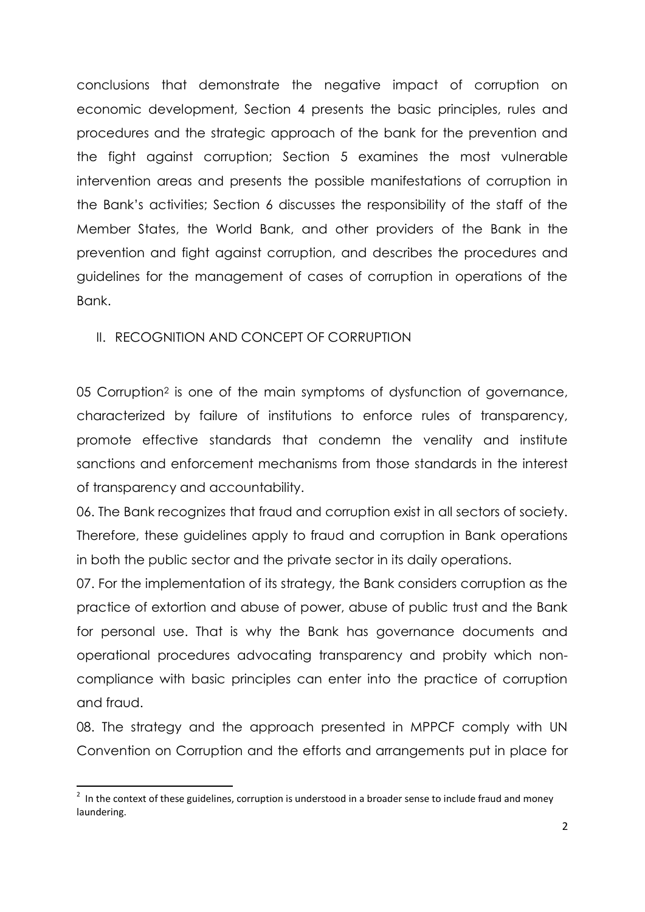conclusions that demonstrate the negative impact of corruption on economic development, Section 4 presents the basic principles, rules and procedures and the strategic approach of the bank for the prevention and the fight against corruption; Section 5 examines the most vulnerable intervention areas and presents the possible manifestations of corruption in the Bank's activities; Section 6 discusses the responsibility of the staff of the Member States, the World Bank, and other providers of the Bank in the prevention and fight against corruption, and describes the procedures and guidelines for the management of cases of corruption in operations of the Bank.

## <span id="page-7-0"></span>II. RECOGNITION AND CONCEPT OF CORRUPTION

05 Corruption<sup>2</sup> is one of the main symptoms of dysfunction of governance, characterized by failure of institutions to enforce rules of transparency, promote effective standards that condemn the venality and institute sanctions and enforcement mechanisms from those standards in the interest of transparency and accountability.

06. The Bank recognizes that fraud and corruption exist in all sectors of society. Therefore, these guidelines apply to fraud and corruption in Bank operations in both the public sector and the private sector in its daily operations.

07. For the implementation of its strategy, the Bank considers corruption as the practice of extortion and abuse of power, abuse of public trust and the Bank for personal use. That is why the Bank has governance documents and operational procedures advocating transparency and probity which noncompliance with basic principles can enter into the practice of corruption and fraud.

08. The strategy and the approach presented in MPPCF comply with UN Convention on Corruption and the efforts and arrangements put in place for

**THE CONTEN 18 ENETA 18 ACCORDED**<br><sup>2</sup> In the context of these guidelines, corruption is understood in a broader sense to include fraud and money laundering.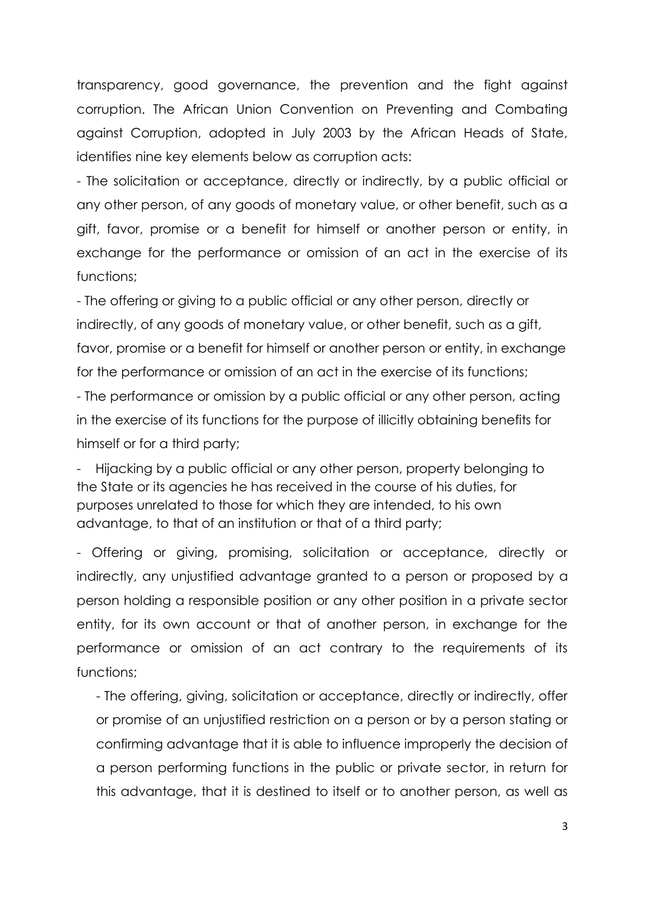transparency, good governance, the prevention and the fight against corruption. The African Union Convention on Preventing and Combating against Corruption, adopted in July 2003 by the African Heads of State, identifies nine key elements below as corruption acts:

- The solicitation or acceptance, directly or indirectly, by a public official or any other person, of any goods of monetary value, or other benefit, such as a gift, favor, promise or a benefit for himself or another person or entity, in exchange for the performance or omission of an act in the exercise of its functions;

- The offering or giving to a public official or any other person, directly or indirectly, of any goods of monetary value, or other benefit, such as a gift, favor, promise or a benefit for himself or another person or entity, in exchange for the performance or omission of an act in the exercise of its functions;

- The performance or omission by a public official or any other person, acting in the exercise of its functions for the purpose of illicitly obtaining benefits for himself or for a third party;

Hijacking by a public official or any other person, property belonging to the State or its agencies he has received in the course of his duties, for purposes unrelated to those for which they are intended, to his own advantage, to that of an institution or that of a third party;

- Offering or giving, promising, solicitation or acceptance, directly or indirectly, any unjustified advantage granted to a person or proposed by a person holding a responsible position or any other position in a private sector entity, for its own account or that of another person, in exchange for the performance or omission of an act contrary to the requirements of its functions;

- The offering, giving, solicitation or acceptance, directly or indirectly, offer or promise of an unjustified restriction on a person or by a person stating or confirming advantage that it is able to influence improperly the decision of a person performing functions in the public or private sector, in return for this advantage, that it is destined to itself or to another person, as well as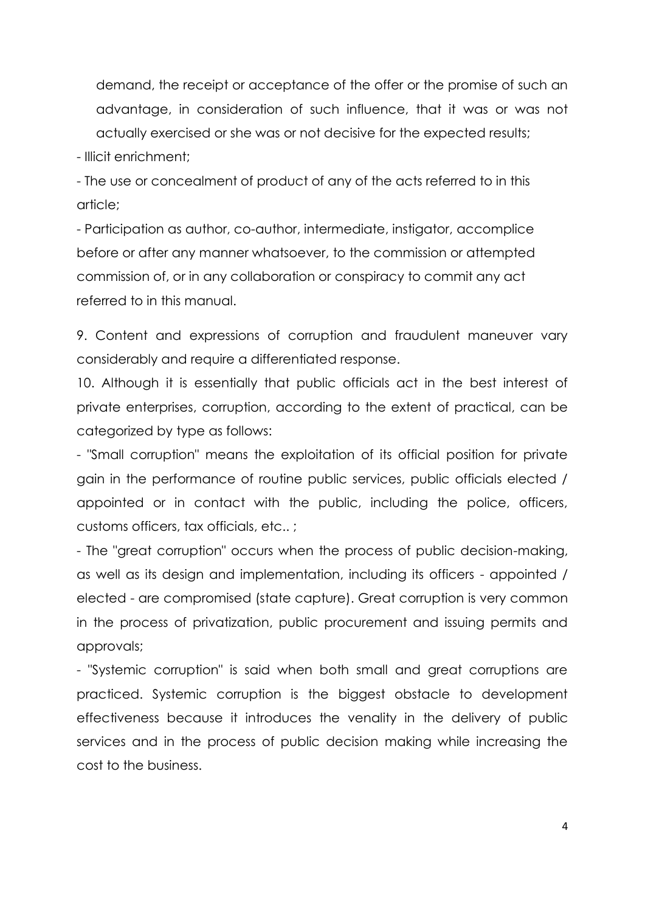demand, the receipt or acceptance of the offer or the promise of such an advantage, in consideration of such influence, that it was or was not actually exercised or she was or not decisive for the expected results;

- Illicit enrichment;

- The use or concealment of product of any of the acts referred to in this article;

- Participation as author, co-author, intermediate, instigator, accomplice before or after any manner whatsoever, to the commission or attempted commission of, or in any collaboration or conspiracy to commit any act referred to in this manual.

9. Content and expressions of corruption and fraudulent maneuver vary considerably and require a differentiated response.

10. Although it is essentially that public officials act in the best interest of private enterprises, corruption, according to the extent of practical, can be categorized by type as follows:

- "Small corruption" means the exploitation of its official position for private gain in the performance of routine public services, public officials elected / appointed or in contact with the public, including the police, officers, customs officers, tax officials, etc.. ;

- The "great corruption" occurs when the process of public decision-making, as well as its design and implementation, including its officers - appointed / elected - are compromised (state capture). Great corruption is very common in the process of privatization, public procurement and issuing permits and approvals;

- "Systemic corruption" is said when both small and great corruptions are practiced. Systemic corruption is the biggest obstacle to development effectiveness because it introduces the venality in the delivery of public services and in the process of public decision making while increasing the cost to the business.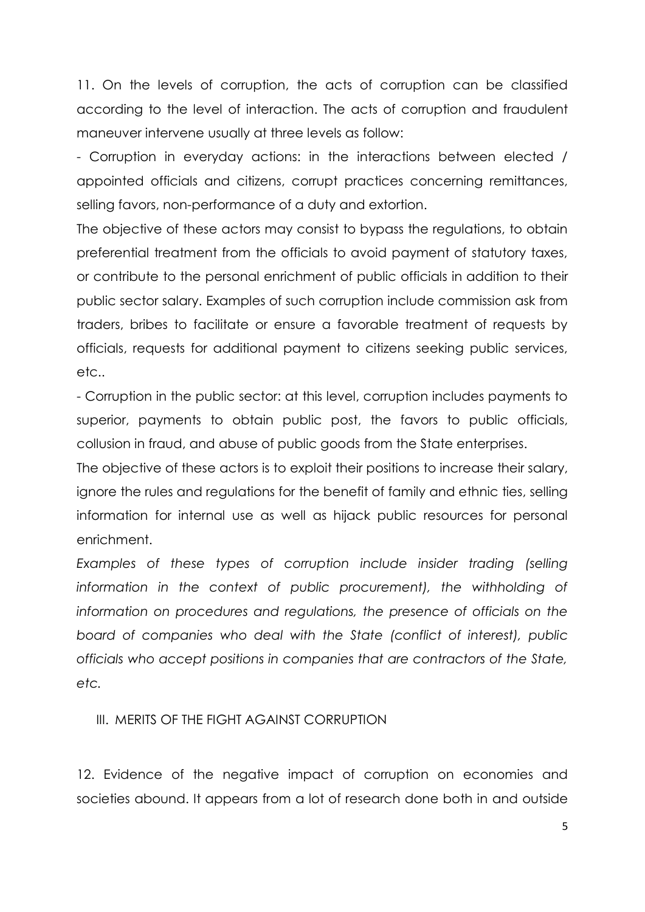11. On the levels of corruption, the acts of corruption can be classified according to the level of interaction. The acts of corruption and fraudulent maneuver intervene usually at three levels as follow:

- Corruption in everyday actions: in the interactions between elected / appointed officials and citizens, corrupt practices concerning remittances, selling favors, non-performance of a duty and extortion.

The objective of these actors may consist to bypass the regulations, to obtain preferential treatment from the officials to avoid payment of statutory taxes, or contribute to the personal enrichment of public officials in addition to their public sector salary. Examples of such corruption include commission ask from traders, bribes to facilitate or ensure a favorable treatment of requests by officials, requests for additional payment to citizens seeking public services, etc..

- Corruption in the public sector: at this level, corruption includes payments to superior, payments to obtain public post, the favors to public officials, collusion in fraud, and abuse of public goods from the State enterprises.

The objective of these actors is to exploit their positions to increase their salary, ignore the rules and regulations for the benefit of family and ethnic ties, selling information for internal use as well as hijack public resources for personal enrichment.

*Examples of these types of corruption include insider trading (selling*  information in the context of public procurement), the withholding of *information on procedures and regulations, the presence of officials on the board of companies who deal with the State (conflict of interest), public officials who accept positions in companies that are contractors of the State, etc.*

<span id="page-10-0"></span>III. MERITS OF THE FIGHT AGAINST CORRUPTION

12. Evidence of the negative impact of corruption on economies and societies abound. It appears from a lot of research done both in and outside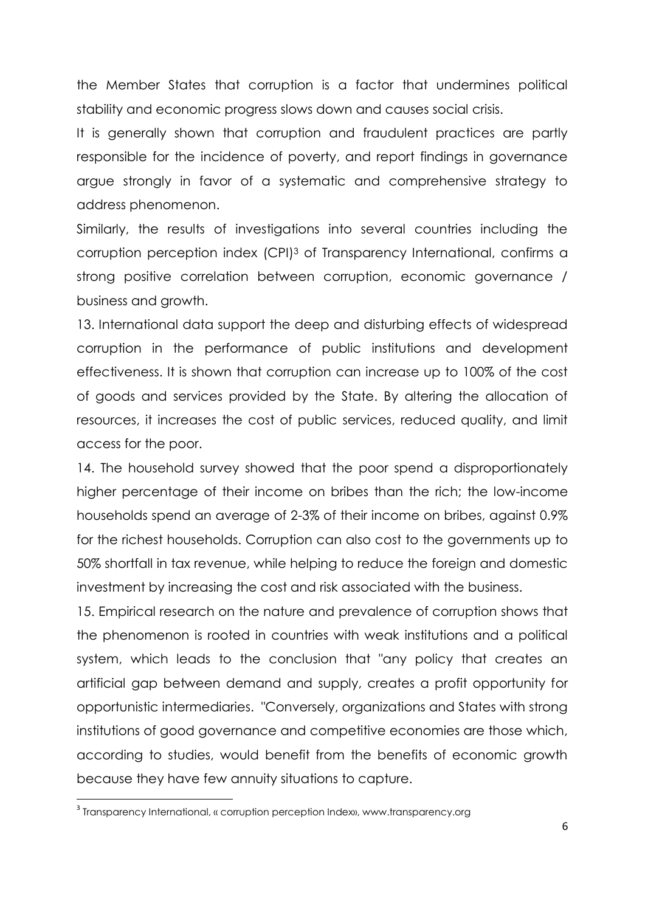the Member States that corruption is a factor that undermines political stability and economic progress slows down and causes social crisis.

It is generally shown that corruption and fraudulent practices are partly responsible for the incidence of poverty, and report findings in governance argue strongly in favor of a systematic and comprehensive strategy to address phenomenon.

Similarly, the results of investigations into several countries including the corruption perception index (CPI)<sup>3</sup> of Transparency International, confirms a strong positive correlation between corruption, economic governance / business and growth.

13. International data support the deep and disturbing effects of widespread corruption in the performance of public institutions and development effectiveness. It is shown that corruption can increase up to 100% of the cost of goods and services provided by the State. By altering the allocation of resources, it increases the cost of public services, reduced quality, and limit access for the poor.

14. The household survey showed that the poor spend a disproportionately higher percentage of their income on bribes than the rich; the low-income households spend an average of 2-3% of their income on bribes, against 0.9% for the richest households. Corruption can also cost to the governments up to 50% shortfall in tax revenue, while helping to reduce the foreign and domestic investment by increasing the cost and risk associated with the business.

15. Empirical research on the nature and prevalence of corruption shows that the phenomenon is rooted in countries with weak institutions and a political system, which leads to the conclusion that "any policy that creates an artificial gap between demand and supply, creates a profit opportunity for opportunistic intermediaries. "Conversely, organizations and States with strong institutions of good governance and competitive economies are those which, according to studies, would benefit from the benefits of economic growth because they have few annuity situations to capture.

**.** 

 $^{\rm 3}$  Transparency International, « corruption perception Index», www.transparency.org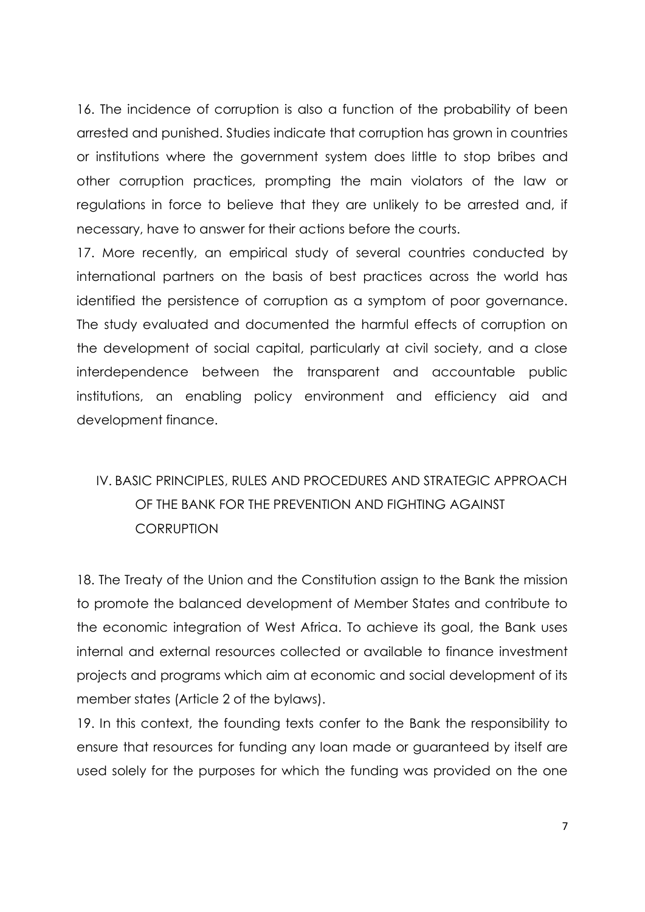16. The incidence of corruption is also a function of the probability of been arrested and punished. Studies indicate that corruption has grown in countries or institutions where the government system does little to stop bribes and other corruption practices, prompting the main violators of the law or regulations in force to believe that they are unlikely to be arrested and, if necessary, have to answer for their actions before the courts.

17. More recently, an empirical study of several countries conducted by international partners on the basis of best practices across the world has identified the persistence of corruption as a symptom of poor governance. The study evaluated and documented the harmful effects of corruption on the development of social capital, particularly at civil society, and a close interdependence between the transparent and accountable public institutions, an enabling policy environment and efficiency aid and development finance.

# <span id="page-12-0"></span>IV. BASIC PRINCIPLES, RULES AND PROCEDURES AND STRATEGIC APPROACH OF THE BANK FOR THE PREVENTION AND FIGHTING AGAINST **CORRUPTION**

18. The Treaty of the Union and the Constitution assign to the Bank the mission to promote the balanced development of Member States and contribute to the economic integration of West Africa. To achieve its goal, the Bank uses internal and external resources collected or available to finance investment projects and programs which aim at economic and social development of its member states (Article 2 of the bylaws).

19. In this context, the founding texts confer to the Bank the responsibility to ensure that resources for funding any loan made or guaranteed by itself are used solely for the purposes for which the funding was provided on the one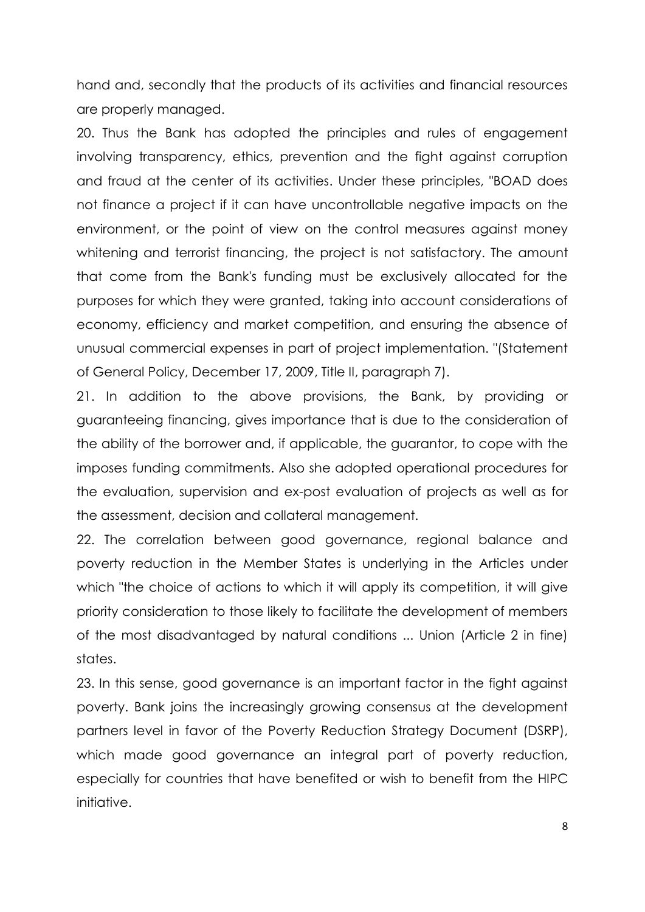hand and, secondly that the products of its activities and financial resources are properly managed.

20. Thus the Bank has adopted the principles and rules of engagement involving transparency, ethics, prevention and the fight against corruption and fraud at the center of its activities. Under these principles, "BOAD does not finance a project if it can have uncontrollable negative impacts on the environment, or the point of view on the control measures against money whitening and terrorist financing, the project is not satisfactory. The amount that come from the Bank's funding must be exclusively allocated for the purposes for which they were granted, taking into account considerations of economy, efficiency and market competition, and ensuring the absence of unusual commercial expenses in part of project implementation. "(Statement of General Policy, December 17, 2009, Title II, paragraph 7).

21. In addition to the above provisions, the Bank, by providing or guaranteeing financing, gives importance that is due to the consideration of the ability of the borrower and, if applicable, the guarantor, to cope with the imposes funding commitments. Also she adopted operational procedures for the evaluation, supervision and ex-post evaluation of projects as well as for the assessment, decision and collateral management.

22. The correlation between good governance, regional balance and poverty reduction in the Member States is underlying in the Articles under which "the choice of actions to which it will apply its competition, it will give priority consideration to those likely to facilitate the development of members of the most disadvantaged by natural conditions ... Union (Article 2 in fine) states.

23. In this sense, good governance is an important factor in the fight against poverty. Bank joins the increasingly growing consensus at the development partners level in favor of the Poverty Reduction Strategy Document (DSRP), which made good governance an integral part of poverty reduction, especially for countries that have benefited or wish to benefit from the HIPC initiative.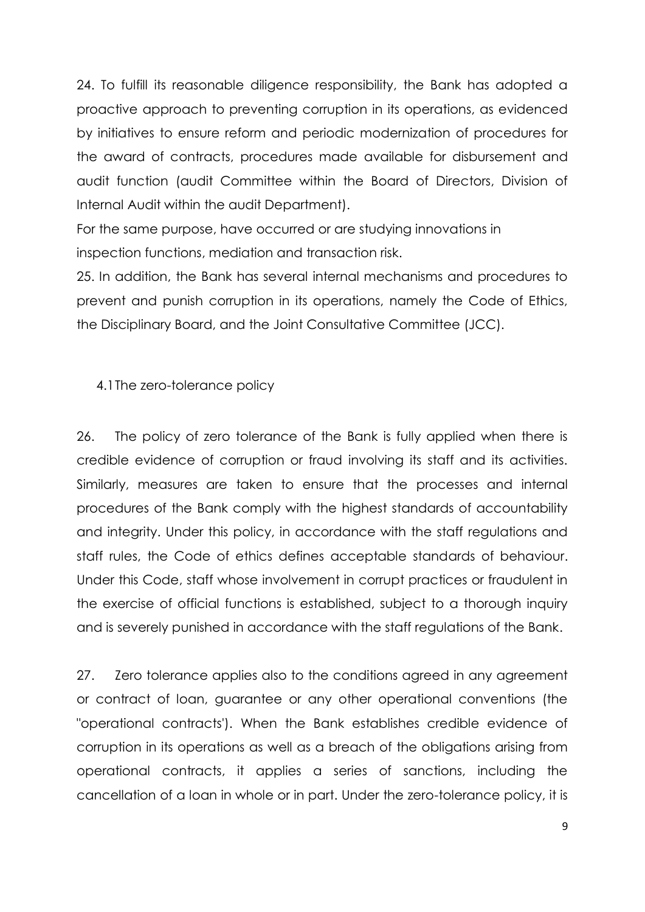24. To fulfill its reasonable diligence responsibility, the Bank has adopted a proactive approach to preventing corruption in its operations, as evidenced by initiatives to ensure reform and periodic modernization of procedures for the award of contracts, procedures made available for disbursement and audit function (audit Committee within the Board of Directors, Division of Internal Audit within the audit Department).

For the same purpose, have occurred or are studying innovations in inspection functions, mediation and transaction risk.

25. In addition, the Bank has several internal mechanisms and procedures to prevent and punish corruption in its operations, namely the Code of Ethics, the Disciplinary Board, and the Joint Consultative Committee (JCC).

### <span id="page-14-0"></span>4.1The zero-tolerance policy

26. The policy of zero tolerance of the Bank is fully applied when there is credible evidence of corruption or fraud involving its staff and its activities. Similarly, measures are taken to ensure that the processes and internal procedures of the Bank comply with the highest standards of accountability and integrity. Under this policy, in accordance with the staff regulations and staff rules, the Code of ethics defines acceptable standards of behaviour. Under this Code, staff whose involvement in corrupt practices or fraudulent in the exercise of official functions is established, subject to a thorough inquiry and is severely punished in accordance with the staff regulations of the Bank.

27. Zero tolerance applies also to the conditions agreed in any agreement or contract of loan, guarantee or any other operational conventions (the "operational contracts'). When the Bank establishes credible evidence of corruption in its operations as well as a breach of the obligations arising from operational contracts, it applies a series of sanctions, including the cancellation of a loan in whole or in part. Under the zero-tolerance policy, it is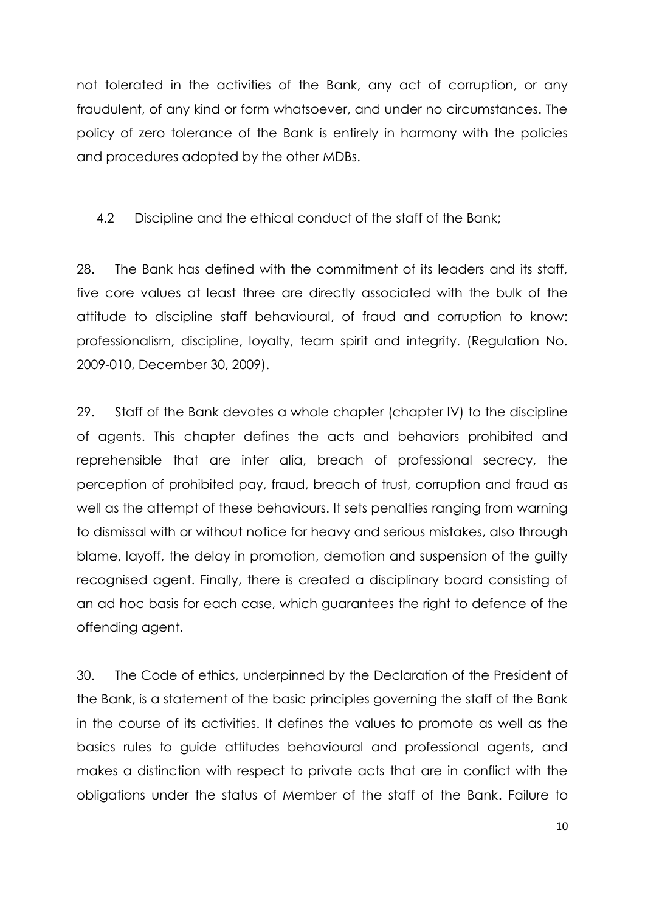not tolerated in the activities of the Bank, any act of corruption, or any fraudulent, of any kind or form whatsoever, and under no circumstances. The policy of zero tolerance of the Bank is entirely in harmony with the policies and procedures adopted by the other MDBs.

<span id="page-15-0"></span>4.2 Discipline and the ethical conduct of the staff of the Bank;

28. The Bank has defined with the commitment of its leaders and its staff, five core values at least three are directly associated with the bulk of the attitude to discipline staff behavioural, of fraud and corruption to know: professionalism, discipline, loyalty, team spirit and integrity. (Regulation No. 2009-010, December 30, 2009).

29. Staff of the Bank devotes a whole chapter (chapter IV) to the discipline of agents. This chapter defines the acts and behaviors prohibited and reprehensible that are inter alia, breach of professional secrecy, the perception of prohibited pay, fraud, breach of trust, corruption and fraud as well as the attempt of these behaviours. It sets penalties ranging from warning to dismissal with or without notice for heavy and serious mistakes, also through blame, layoff, the delay in promotion, demotion and suspension of the guilty recognised agent. Finally, there is created a disciplinary board consisting of an ad hoc basis for each case, which guarantees the right to defence of the offending agent.

30. The Code of ethics, underpinned by the Declaration of the President of the Bank, is a statement of the basic principles governing the staff of the Bank in the course of its activities. It defines the values to promote as well as the basics rules to guide attitudes behavioural and professional agents, and makes a distinction with respect to private acts that are in conflict with the obligations under the status of Member of the staff of the Bank. Failure to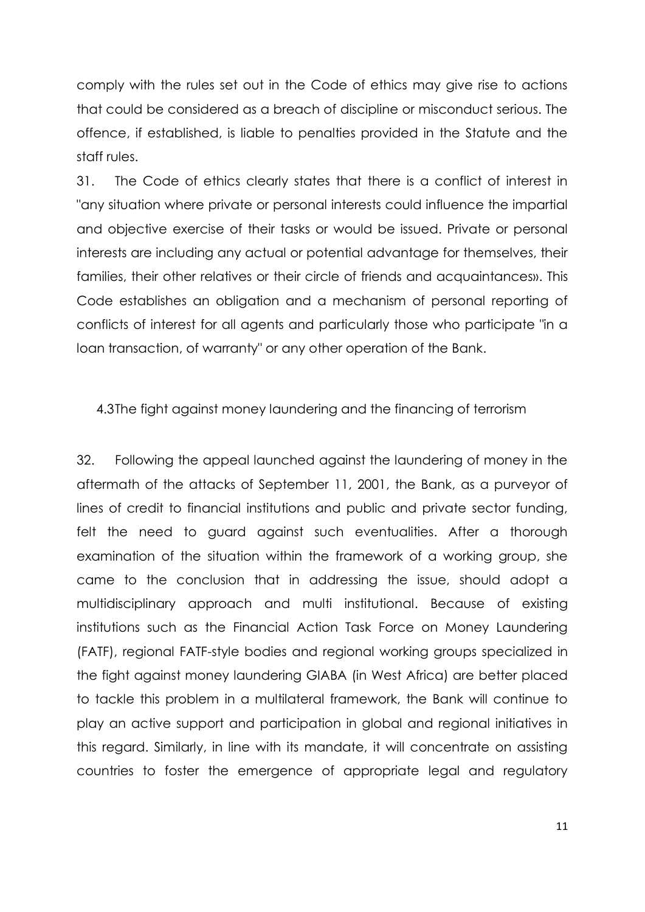comply with the rules set out in the Code of ethics may give rise to actions that could be considered as a breach of discipline or misconduct serious. The offence, if established, is liable to penalties provided in the Statute and the staff rules.

31. The Code of ethics clearly states that there is a conflict of interest in "any situation where private or personal interests could influence the impartial and objective exercise of their tasks or would be issued. Private or personal interests are including any actual or potential advantage for themselves, their families, their other relatives or their circle of friends and acquaintances». This Code establishes an obligation and a mechanism of personal reporting of conflicts of interest for all agents and particularly those who participate "in a loan transaction, of warranty" or any other operation of the Bank.

<span id="page-16-0"></span>4.3The fight against money laundering and the financing of terrorism

32. Following the appeal launched against the laundering of money in the aftermath of the attacks of September 11, 2001, the Bank, as a purveyor of lines of credit to financial institutions and public and private sector funding, felt the need to guard against such eventualities. After a thorough examination of the situation within the framework of a working group, she came to the conclusion that in addressing the issue, should adopt a multidisciplinary approach and multi institutional. Because of existing institutions such as the Financial Action Task Force on Money Laundering (FATF), regional FATF-style bodies and regional working groups specialized in the fight against money laundering GIABA (in West Africa) are better placed to tackle this problem in a multilateral framework, the Bank will continue to play an active support and participation in global and regional initiatives in this regard. Similarly, in line with its mandate, it will concentrate on assisting countries to foster the emergence of appropriate legal and regulatory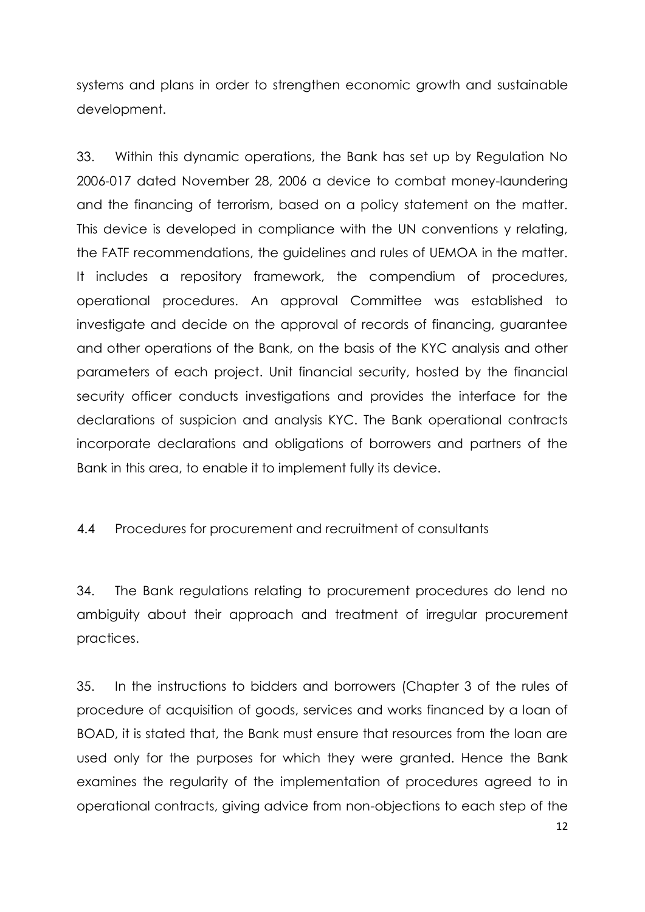systems and plans in order to strengthen economic growth and sustainable development.

33. Within this dynamic operations, the Bank has set up by Regulation No 2006-017 dated November 28, 2006 a device to combat money-laundering and the financing of terrorism, based on a policy statement on the matter. This device is developed in compliance with the UN conventions y relating, the FATF recommendations, the guidelines and rules of UEMOA in the matter. It includes a repository framework, the compendium of procedures, operational procedures. An approval Committee was established to investigate and decide on the approval of records of financing, guarantee and other operations of the Bank, on the basis of the KYC analysis and other parameters of each project. Unit financial security, hosted by the financial security officer conducts investigations and provides the interface for the declarations of suspicion and analysis KYC. The Bank operational contracts incorporate declarations and obligations of borrowers and partners of the Bank in this area, to enable it to implement fully its device.

<span id="page-17-0"></span>4.4 Procedures for procurement and recruitment of consultants

34. The Bank regulations relating to procurement procedures do lend no ambiguity about their approach and treatment of irregular procurement practices.

35. In the instructions to bidders and borrowers (Chapter 3 of the rules of procedure of acquisition of goods, services and works financed by a loan of BOAD, it is stated that, the Bank must ensure that resources from the loan are used only for the purposes for which they were granted. Hence the Bank examines the regularity of the implementation of procedures agreed to in operational contracts, giving advice from non-objections to each step of the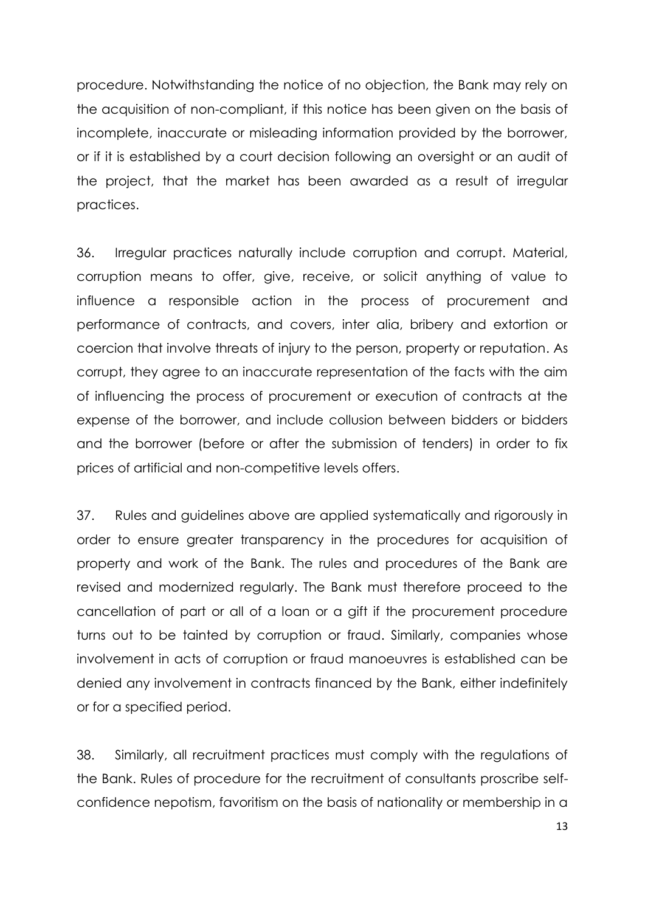procedure. Notwithstanding the notice of no objection, the Bank may rely on the acquisition of non-compliant, if this notice has been given on the basis of incomplete, inaccurate or misleading information provided by the borrower, or if it is established by a court decision following an oversight or an audit of the project, that the market has been awarded as a result of irregular practices.

36. Irregular practices naturally include corruption and corrupt. Material, corruption means to offer, give, receive, or solicit anything of value to influence a responsible action in the process of procurement and performance of contracts, and covers, inter alia, bribery and extortion or coercion that involve threats of injury to the person, property or reputation. As corrupt, they agree to an inaccurate representation of the facts with the aim of influencing the process of procurement or execution of contracts at the expense of the borrower, and include collusion between bidders or bidders and the borrower (before or after the submission of tenders) in order to fix prices of artificial and non-competitive levels offers.

37. Rules and guidelines above are applied systematically and rigorously in order to ensure greater transparency in the procedures for acquisition of property and work of the Bank. The rules and procedures of the Bank are revised and modernized regularly. The Bank must therefore proceed to the cancellation of part or all of a loan or a gift if the procurement procedure turns out to be tainted by corruption or fraud. Similarly, companies whose involvement in acts of corruption or fraud manoeuvres is established can be denied any involvement in contracts financed by the Bank, either indefinitely or for a specified period.

38. Similarly, all recruitment practices must comply with the regulations of the Bank. Rules of procedure for the recruitment of consultants proscribe selfconfidence nepotism, favoritism on the basis of nationality or membership in a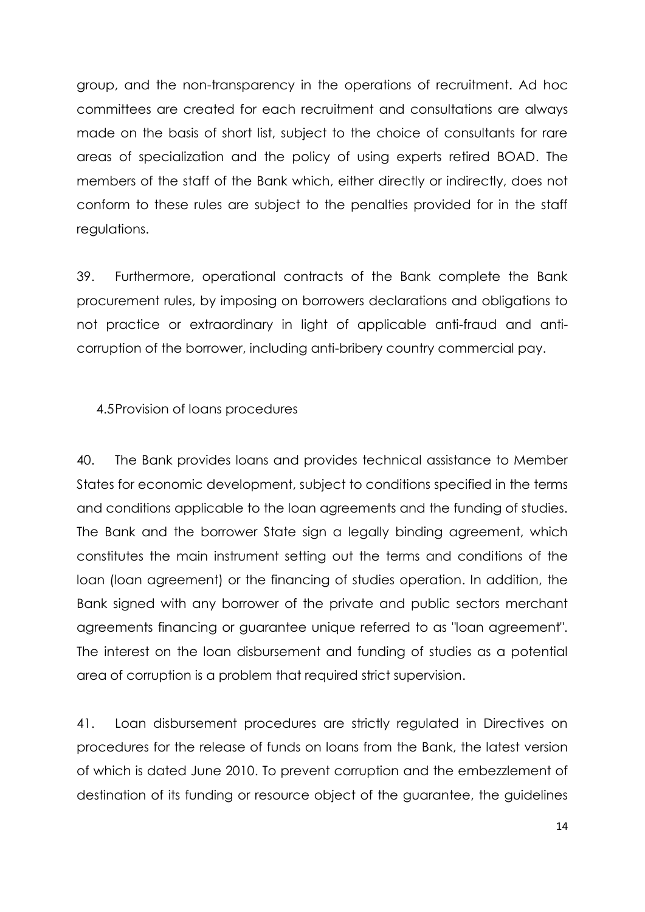group, and the non-transparency in the operations of recruitment. Ad hoc committees are created for each recruitment and consultations are always made on the basis of short list, subject to the choice of consultants for rare areas of specialization and the policy of using experts retired BOAD. The members of the staff of the Bank which, either directly or indirectly, does not conform to these rules are subject to the penalties provided for in the staff regulations.

39. Furthermore, operational contracts of the Bank complete the Bank procurement rules, by imposing on borrowers declarations and obligations to not practice or extraordinary in light of applicable anti-fraud and anticorruption of the borrower, including anti-bribery country commercial pay.

<span id="page-19-0"></span>4.5Provision of loans procedures

40. The Bank provides loans and provides technical assistance to Member States for economic development, subject to conditions specified in the terms and conditions applicable to the loan agreements and the funding of studies. The Bank and the borrower State sign a legally binding agreement, which constitutes the main instrument setting out the terms and conditions of the loan (loan agreement) or the financing of studies operation. In addition, the Bank signed with any borrower of the private and public sectors merchant agreements financing or guarantee unique referred to as "loan agreement". The interest on the loan disbursement and funding of studies as a potential area of corruption is a problem that required strict supervision.

41. Loan disbursement procedures are strictly regulated in Directives on procedures for the release of funds on loans from the Bank, the latest version of which is dated June 2010. To prevent corruption and the embezzlement of destination of its funding or resource object of the guarantee, the guidelines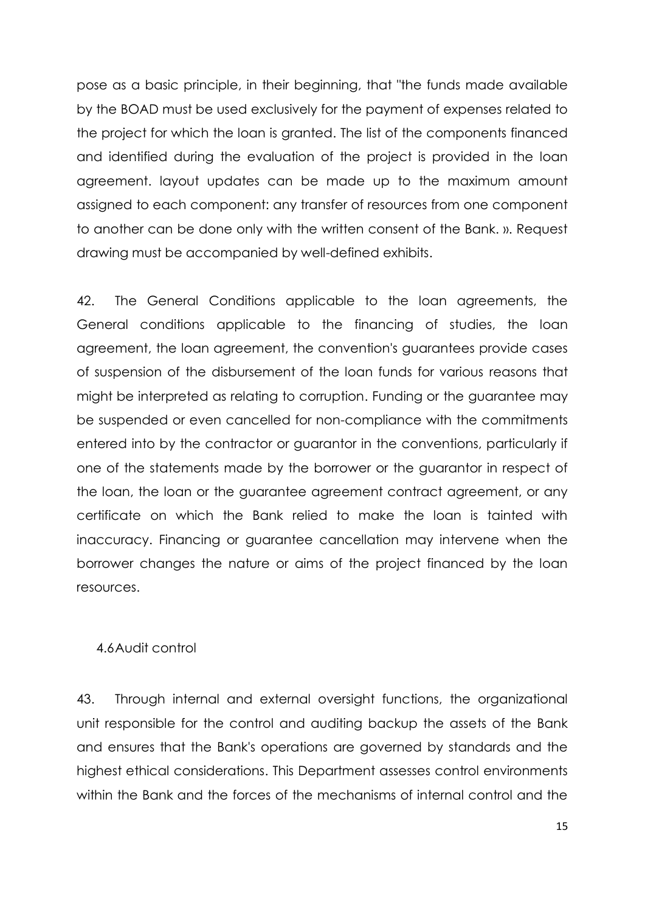pose as a basic principle, in their beginning, that "the funds made available by the BOAD must be used exclusively for the payment of expenses related to the project for which the loan is granted. The list of the components financed and identified during the evaluation of the project is provided in the loan agreement. layout updates can be made up to the maximum amount assigned to each component: any transfer of resources from one component to another can be done only with the written consent of the Bank. ». Request drawing must be accompanied by well-defined exhibits.

42. The General Conditions applicable to the loan agreements, the General conditions applicable to the financing of studies, the loan agreement, the loan agreement, the convention's guarantees provide cases of suspension of the disbursement of the loan funds for various reasons that might be interpreted as relating to corruption. Funding or the guarantee may be suspended or even cancelled for non-compliance with the commitments entered into by the contractor or guarantor in the conventions, particularly if one of the statements made by the borrower or the guarantor in respect of the loan, the loan or the guarantee agreement contract agreement, or any certificate on which the Bank relied to make the loan is tainted with inaccuracy. Financing or guarantee cancellation may intervene when the borrower changes the nature or aims of the project financed by the loan resources.

### <span id="page-20-0"></span>4.6Audit control

43. Through internal and external oversight functions, the organizational unit responsible for the control and auditing backup the assets of the Bank and ensures that the Bank's operations are governed by standards and the highest ethical considerations. This Department assesses control environments within the Bank and the forces of the mechanisms of internal control and the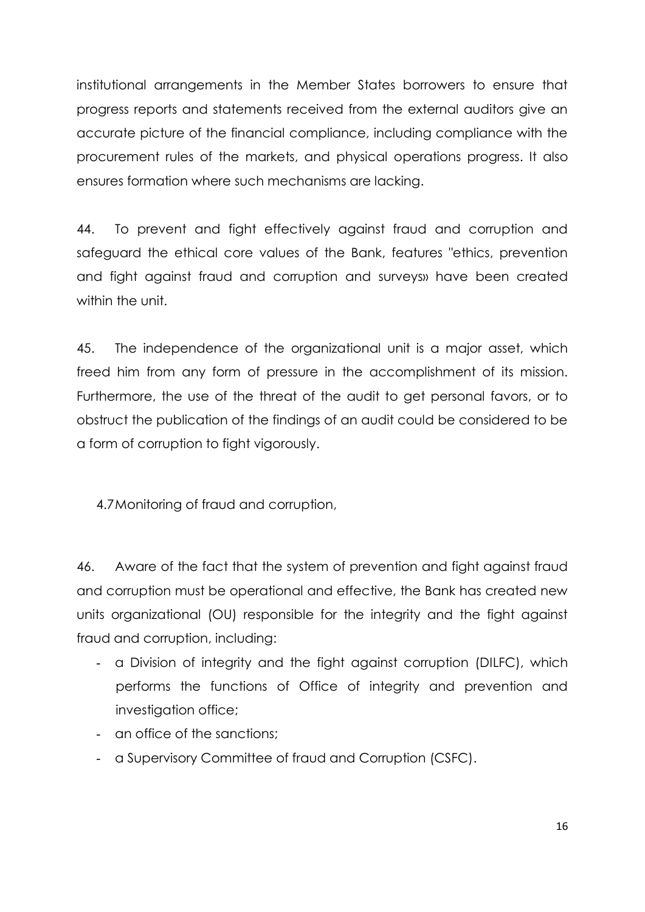institutional arrangements in the Member States borrowers to ensure that progress reports and statements received from the external auditors give an accurate picture of the financial compliance, including compliance with the procurement rules of the markets, and physical operations progress. It also ensures formation where such mechanisms are lacking.

44. To prevent and fight effectively against fraud and corruption and safeguard the ethical core values of the Bank, features "ethics, prevention and fight against fraud and corruption and surveys» have been created within the unit.

45. The independence of the organizational unit is a major asset, which freed him from any form of pressure in the accomplishment of its mission. Furthermore, the use of the threat of the audit to get personal favors, or to obstruct the publication of the findings of an audit could be considered to be a form of corruption to fight vigorously.

<span id="page-21-0"></span>4.7Monitoring of fraud and corruption,

46. Aware of the fact that the system of prevention and fight against fraud and corruption must be operational and effective, the Bank has created new units organizational (OU) responsible for the integrity and the fight against fraud and corruption, including:

- a Division of integrity and the fight against corruption (DILFC), which performs the functions of Office of integrity and prevention and investigation office:
- an office of the sanctions;
- a Supervisory Committee of fraud and Corruption (CSFC).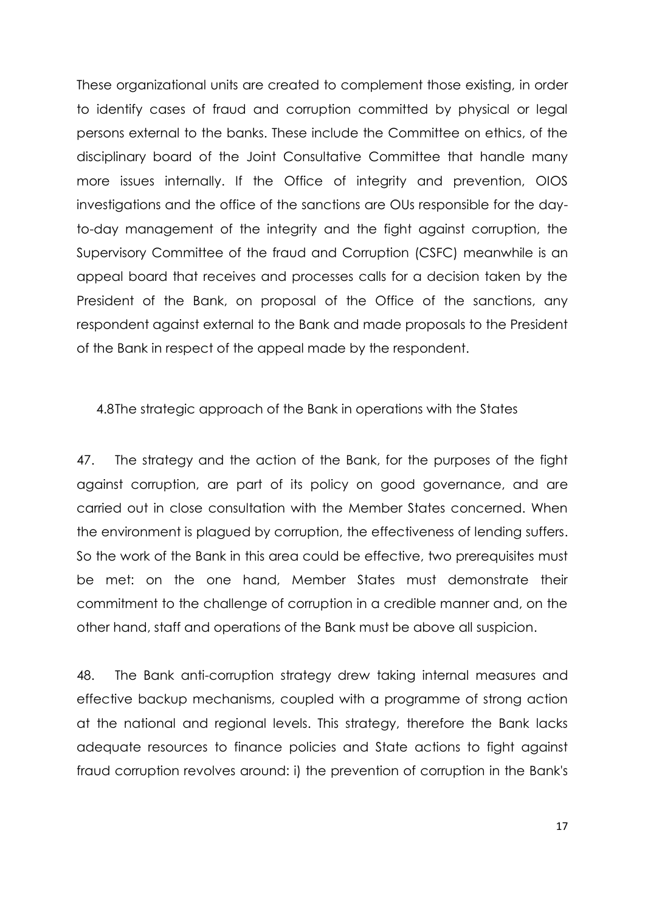These organizational units are created to complement those existing, in order to identify cases of fraud and corruption committed by physical or legal persons external to the banks. These include the Committee on ethics, of the disciplinary board of the Joint Consultative Committee that handle many more issues internally. If the Office of integrity and prevention, OIOS investigations and the office of the sanctions are OUs responsible for the dayto-day management of the integrity and the fight against corruption, the Supervisory Committee of the fraud and Corruption (CSFC) meanwhile is an appeal board that receives and processes calls for a decision taken by the President of the Bank, on proposal of the Office of the sanctions, any respondent against external to the Bank and made proposals to the President of the Bank in respect of the appeal made by the respondent.

<span id="page-22-0"></span>4.8The strategic approach of the Bank in operations with the States

47. The strategy and the action of the Bank, for the purposes of the fight against corruption, are part of its policy on good governance, and are carried out in close consultation with the Member States concerned. When the environment is plagued by corruption, the effectiveness of lending suffers. So the work of the Bank in this area could be effective, two prerequisites must be met: on the one hand, Member States must demonstrate their commitment to the challenge of corruption in a credible manner and, on the other hand, staff and operations of the Bank must be above all suspicion.

48. The Bank anti-corruption strategy drew taking internal measures and effective backup mechanisms, coupled with a programme of strong action at the national and regional levels. This strategy, therefore the Bank lacks adequate resources to finance policies and State actions to fight against fraud corruption revolves around: i) the prevention of corruption in the Bank's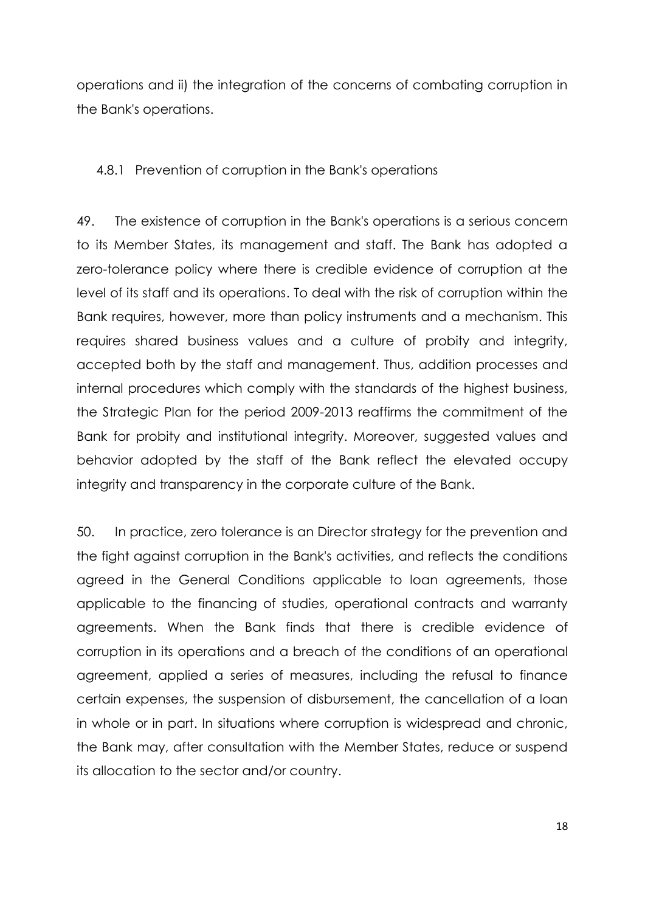operations and ii) the integration of the concerns of combating corruption in the Bank's operations.

<span id="page-23-0"></span>4.8.1 Prevention of corruption in the Bank's operations

49. The existence of corruption in the Bank's operations is a serious concern to its Member States, its management and staff. The Bank has adopted a zero-tolerance policy where there is credible evidence of corruption at the level of its staff and its operations. To deal with the risk of corruption within the Bank requires, however, more than policy instruments and a mechanism. This requires shared business values and a culture of probity and integrity, accepted both by the staff and management. Thus, addition processes and internal procedures which comply with the standards of the highest business, the Strategic Plan for the period 2009-2013 reaffirms the commitment of the Bank for probity and institutional integrity. Moreover, suggested values and behavior adopted by the staff of the Bank reflect the elevated occupy integrity and transparency in the corporate culture of the Bank.

50. In practice, zero tolerance is an Director strategy for the prevention and the fight against corruption in the Bank's activities, and reflects the conditions agreed in the General Conditions applicable to loan agreements, those applicable to the financing of studies, operational contracts and warranty agreements. When the Bank finds that there is credible evidence of corruption in its operations and a breach of the conditions of an operational agreement, applied a series of measures, including the refusal to finance certain expenses, the suspension of disbursement, the cancellation of a loan in whole or in part. In situations where corruption is widespread and chronic, the Bank may, after consultation with the Member States, reduce or suspend its allocation to the sector and/or country.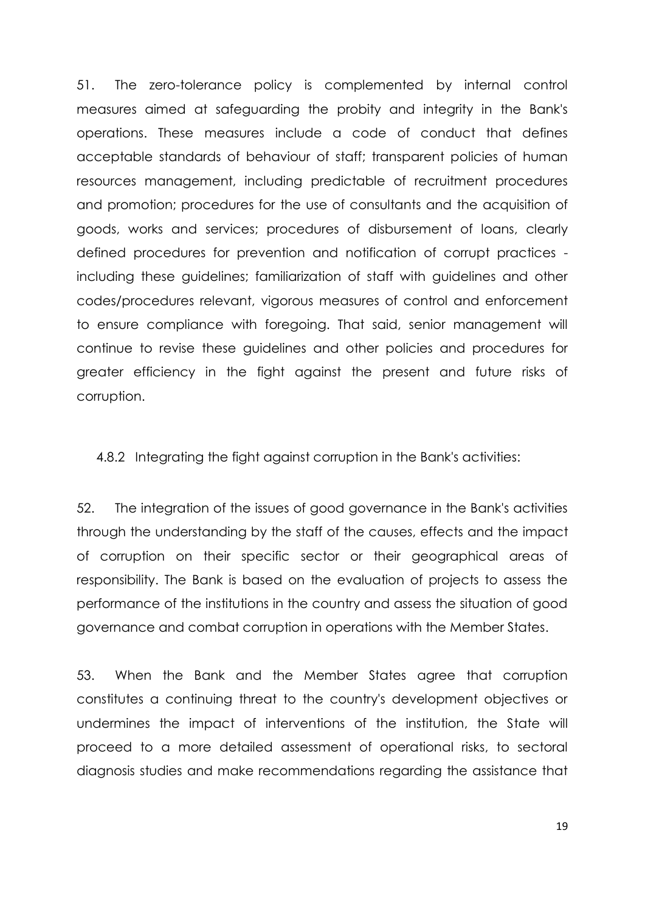51. The zero-tolerance policy is complemented by internal control measures aimed at safeguarding the probity and integrity in the Bank's operations. These measures include a code of conduct that defines acceptable standards of behaviour of staff; transparent policies of human resources management, including predictable of recruitment procedures and promotion; procedures for the use of consultants and the acquisition of goods, works and services; procedures of disbursement of loans, clearly defined procedures for prevention and notification of corrupt practices including these guidelines; familiarization of staff with guidelines and other codes/procedures relevant, vigorous measures of control and enforcement to ensure compliance with foregoing. That said, senior management will continue to revise these guidelines and other policies and procedures for greater efficiency in the fight against the present and future risks of corruption.

<span id="page-24-0"></span>4.8.2 Integrating the fight against corruption in the Bank's activities:

52. The integration of the issues of good governance in the Bank's activities through the understanding by the staff of the causes, effects and the impact of corruption on their specific sector or their geographical areas of responsibility. The Bank is based on the evaluation of projects to assess the performance of the institutions in the country and assess the situation of good governance and combat corruption in operations with the Member States.

53. When the Bank and the Member States agree that corruption constitutes a continuing threat to the country's development objectives or undermines the impact of interventions of the institution, the State will proceed to a more detailed assessment of operational risks, to sectoral diagnosis studies and make recommendations regarding the assistance that

19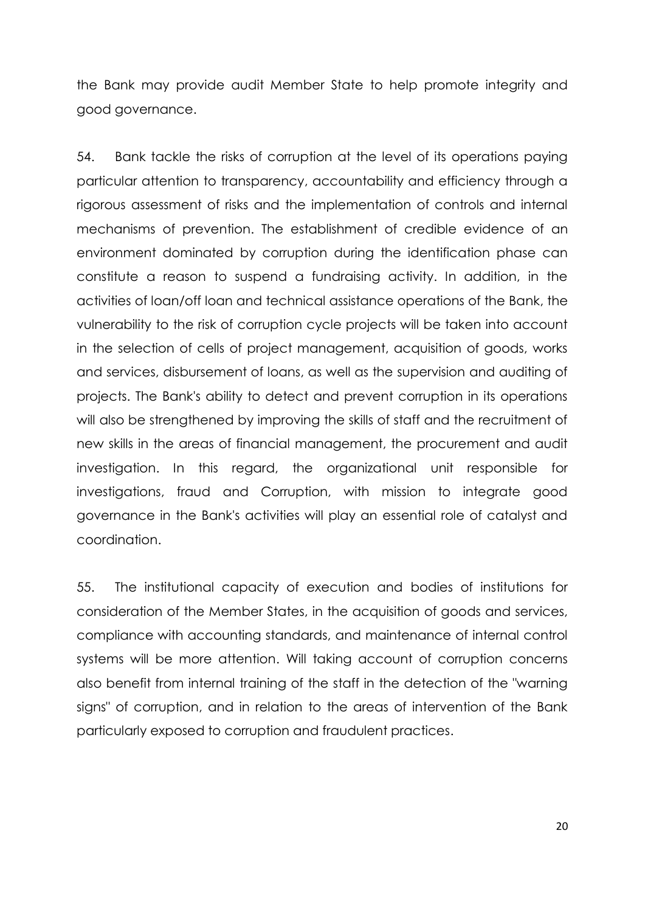the Bank may provide audit Member State to help promote integrity and good governance.

54. Bank tackle the risks of corruption at the level of its operations paying particular attention to transparency, accountability and efficiency through a rigorous assessment of risks and the implementation of controls and internal mechanisms of prevention. The establishment of credible evidence of an environment dominated by corruption during the identification phase can constitute a reason to suspend a fundraising activity. In addition, in the activities of loan/off loan and technical assistance operations of the Bank, the vulnerability to the risk of corruption cycle projects will be taken into account in the selection of cells of project management, acquisition of goods, works and services, disbursement of loans, as well as the supervision and auditing of projects. The Bank's ability to detect and prevent corruption in its operations will also be strengthened by improving the skills of staff and the recruitment of new skills in the areas of financial management, the procurement and audit investigation. In this regard, the organizational unit responsible for investigations, fraud and Corruption, with mission to integrate good governance in the Bank's activities will play an essential role of catalyst and coordination.

55. The institutional capacity of execution and bodies of institutions for consideration of the Member States, in the acquisition of goods and services, compliance with accounting standards, and maintenance of internal control systems will be more attention. Will taking account of corruption concerns also benefit from internal training of the staff in the detection of the "warning signs" of corruption, and in relation to the areas of intervention of the Bank particularly exposed to corruption and fraudulent practices.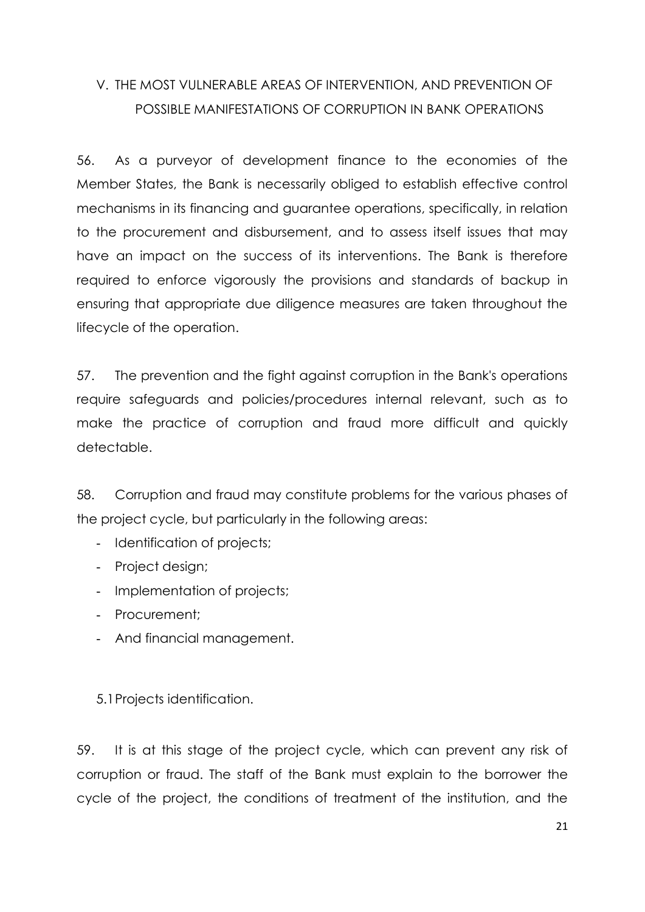# <span id="page-26-0"></span>V. THE MOST VULNERABLE AREAS OF INTERVENTION, AND PREVENTION OF POSSIBLE MANIFESTATIONS OF CORRUPTION IN BANK OPERATIONS

56. As a purveyor of development finance to the economies of the Member States, the Bank is necessarily obliged to establish effective control mechanisms in its financing and guarantee operations, specifically, in relation to the procurement and disbursement, and to assess itself issues that may have an impact on the success of its interventions. The Bank is therefore required to enforce vigorously the provisions and standards of backup in ensuring that appropriate due diligence measures are taken throughout the lifecycle of the operation.

57. The prevention and the fight against corruption in the Bank's operations require safeguards and policies/procedures internal relevant, such as to make the practice of corruption and fraud more difficult and quickly detectable.

58. Corruption and fraud may constitute problems for the various phases of the project cycle, but particularly in the following areas:

- Identification of projects;
- Project design;
- Implementation of projects;
- Procurement;
- And financial management.

<span id="page-26-1"></span>5.1Projects identification.

59. It is at this stage of the project cycle, which can prevent any risk of corruption or fraud. The staff of the Bank must explain to the borrower the cycle of the project, the conditions of treatment of the institution, and the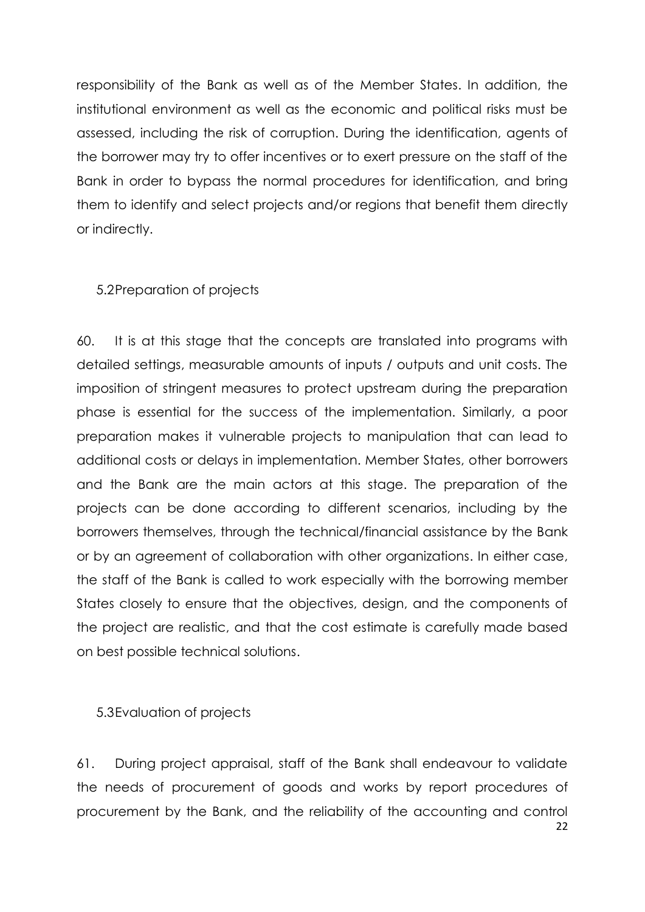responsibility of the Bank as well as of the Member States. In addition, the institutional environment as well as the economic and political risks must be assessed, including the risk of corruption. During the identification, agents of the borrower may try to offer incentives or to exert pressure on the staff of the Bank in order to bypass the normal procedures for identification, and bring them to identify and select projects and/or regions that benefit them directly or indirectly.

### <span id="page-27-0"></span>5.2Preparation of projects

60. It is at this stage that the concepts are translated into programs with detailed settings, measurable amounts of inputs / outputs and unit costs. The imposition of stringent measures to protect upstream during the preparation phase is essential for the success of the implementation. Similarly, a poor preparation makes it vulnerable projects to manipulation that can lead to additional costs or delays in implementation. Member States, other borrowers and the Bank are the main actors at this stage. The preparation of the projects can be done according to different scenarios, including by the borrowers themselves, through the technical/financial assistance by the Bank or by an agreement of collaboration with other organizations. In either case, the staff of the Bank is called to work especially with the borrowing member States closely to ensure that the objectives, design, and the components of the project are realistic, and that the cost estimate is carefully made based on best possible technical solutions.

<span id="page-27-1"></span>5.3Evaluation of projects

22 61. During project appraisal, staff of the Bank shall endeavour to validate the needs of procurement of goods and works by report procedures of procurement by the Bank, and the reliability of the accounting and control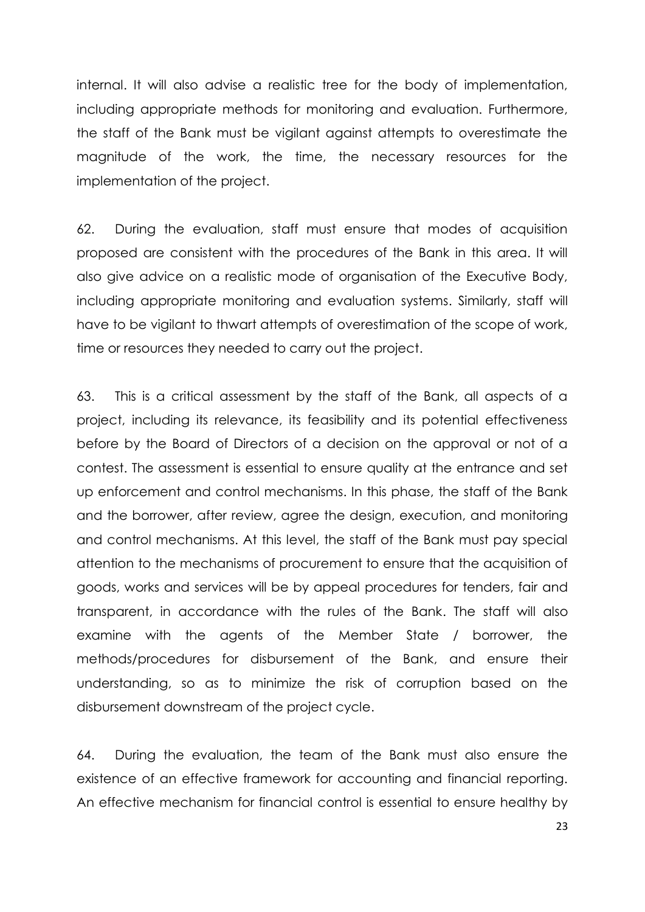internal. It will also advise a realistic tree for the body of implementation, including appropriate methods for monitoring and evaluation. Furthermore, the staff of the Bank must be vigilant against attempts to overestimate the magnitude of the work, the time, the necessary resources for the implementation of the project.

62. During the evaluation, staff must ensure that modes of acquisition proposed are consistent with the procedures of the Bank in this area. It will also give advice on a realistic mode of organisation of the Executive Body, including appropriate monitoring and evaluation systems. Similarly, staff will have to be vigilant to thwart attempts of overestimation of the scope of work, time or resources they needed to carry out the project.

63. This is a critical assessment by the staff of the Bank, all aspects of a project, including its relevance, its feasibility and its potential effectiveness before by the Board of Directors of a decision on the approval or not of a contest. The assessment is essential to ensure quality at the entrance and set up enforcement and control mechanisms. In this phase, the staff of the Bank and the borrower, after review, agree the design, execution, and monitoring and control mechanisms. At this level, the staff of the Bank must pay special attention to the mechanisms of procurement to ensure that the acquisition of goods, works and services will be by appeal procedures for tenders, fair and transparent, in accordance with the rules of the Bank. The staff will also examine with the agents of the Member State / borrower, the methods/procedures for disbursement of the Bank, and ensure their understanding, so as to minimize the risk of corruption based on the disbursement downstream of the project cycle.

64. During the evaluation, the team of the Bank must also ensure the existence of an effective framework for accounting and financial reporting. An effective mechanism for financial control is essential to ensure healthy by

23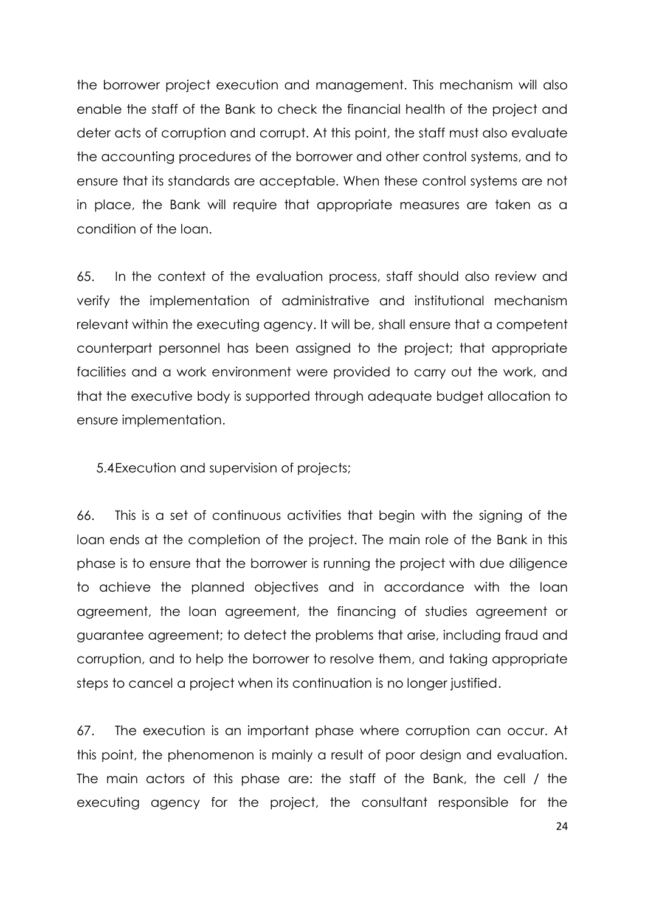the borrower project execution and management. This mechanism will also enable the staff of the Bank to check the financial health of the project and deter acts of corruption and corrupt. At this point, the staff must also evaluate the accounting procedures of the borrower and other control systems, and to ensure that its standards are acceptable. When these control systems are not in place, the Bank will require that appropriate measures are taken as a condition of the loan.

65. In the context of the evaluation process, staff should also review and verify the implementation of administrative and institutional mechanism relevant within the executing agency. It will be, shall ensure that a competent counterpart personnel has been assigned to the project; that appropriate facilities and a work environment were provided to carry out the work, and that the executive body is supported through adequate budget allocation to ensure implementation.

5.4Execution and supervision of projects;

66. This is a set of continuous activities that begin with the signing of the loan ends at the completion of the project. The main role of the Bank in this phase is to ensure that the borrower is running the project with due diligence to achieve the planned objectives and in accordance with the loan agreement, the loan agreement, the financing of studies agreement or guarantee agreement; to detect the problems that arise, including fraud and corruption, and to help the borrower to resolve them, and taking appropriate steps to cancel a project when its continuation is no longer justified.

67. The execution is an important phase where corruption can occur. At this point, the phenomenon is mainly a result of poor design and evaluation. The main actors of this phase are: the staff of the Bank, the cell / the executing agency for the project, the consultant responsible for the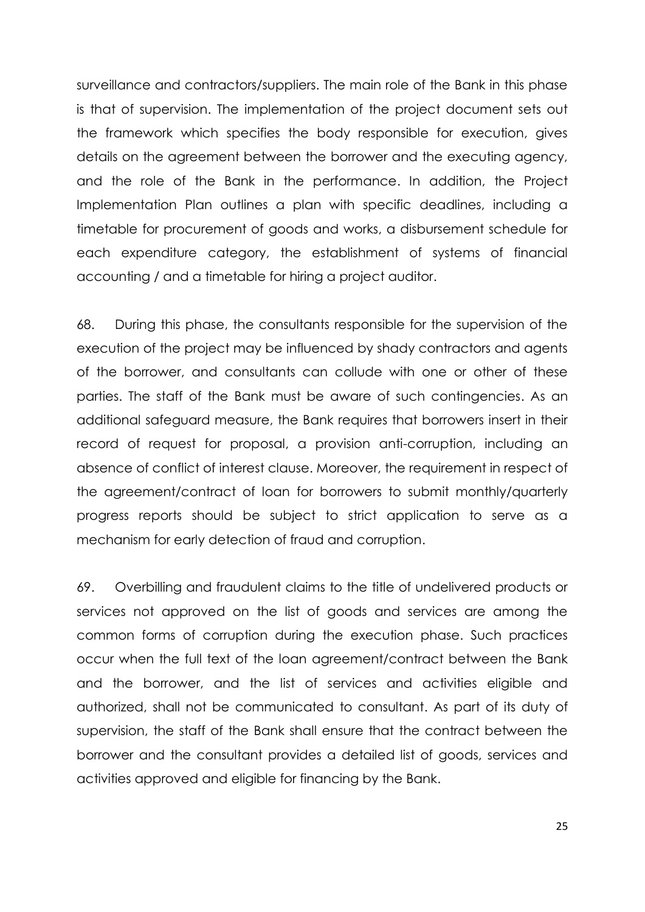surveillance and contractors/suppliers. The main role of the Bank in this phase is that of supervision. The implementation of the project document sets out the framework which specifies the body responsible for execution, gives details on the agreement between the borrower and the executing agency, and the role of the Bank in the performance. In addition, the Project Implementation Plan outlines a plan with specific deadlines, including a timetable for procurement of goods and works, a disbursement schedule for each expenditure category, the establishment of systems of financial accounting / and a timetable for hiring a project auditor.

68. During this phase, the consultants responsible for the supervision of the execution of the project may be influenced by shady contractors and agents of the borrower, and consultants can collude with one or other of these parties. The staff of the Bank must be aware of such contingencies. As an additional safeguard measure, the Bank requires that borrowers insert in their record of request for proposal, a provision anti-corruption, including an absence of conflict of interest clause. Moreover, the requirement in respect of the agreement/contract of loan for borrowers to submit monthly/quarterly progress reports should be subject to strict application to serve as a mechanism for early detection of fraud and corruption.

69. Overbilling and fraudulent claims to the title of undelivered products or services not approved on the list of goods and services are among the common forms of corruption during the execution phase. Such practices occur when the full text of the loan agreement/contract between the Bank and the borrower, and the list of services and activities eligible and authorized, shall not be communicated to consultant. As part of its duty of supervision, the staff of the Bank shall ensure that the contract between the borrower and the consultant provides a detailed list of goods, services and activities approved and eligible for financing by the Bank.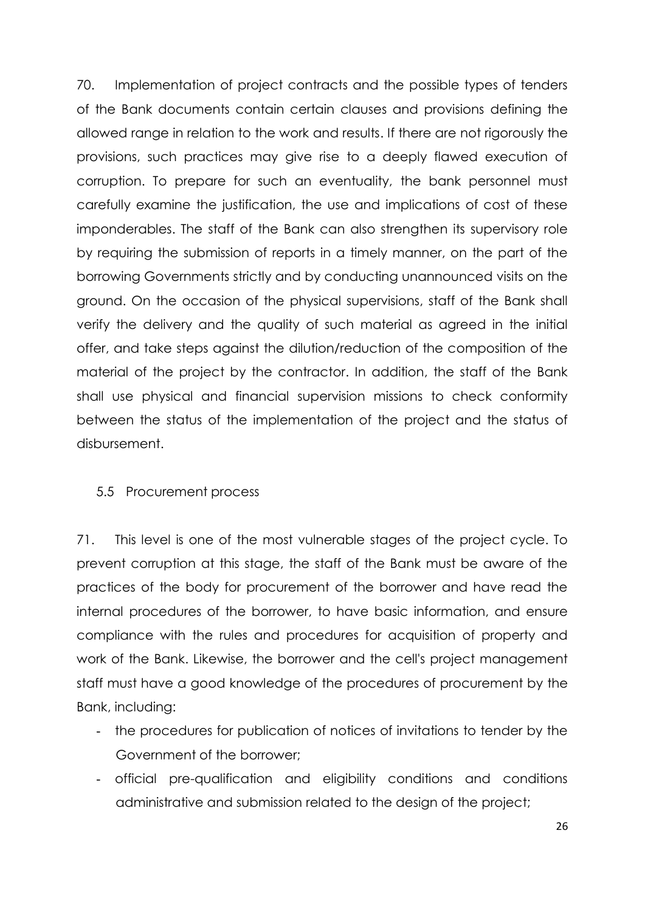70. Implementation of project contracts and the possible types of tenders of the Bank documents contain certain clauses and provisions defining the allowed range in relation to the work and results. If there are not rigorously the provisions, such practices may give rise to a deeply flawed execution of corruption. To prepare for such an eventuality, the bank personnel must carefully examine the justification, the use and implications of cost of these imponderables. The staff of the Bank can also strengthen its supervisory role by requiring the submission of reports in a timely manner, on the part of the borrowing Governments strictly and by conducting unannounced visits on the ground. On the occasion of the physical supervisions, staff of the Bank shall verify the delivery and the quality of such material as agreed in the initial offer, and take steps against the dilution/reduction of the composition of the material of the project by the contractor. In addition, the staff of the Bank shall use physical and financial supervision missions to check conformity between the status of the implementation of the project and the status of disbursement.

### 5.5 Procurement process

71. This level is one of the most vulnerable stages of the project cycle. To prevent corruption at this stage, the staff of the Bank must be aware of the practices of the body for procurement of the borrower and have read the internal procedures of the borrower, to have basic information, and ensure compliance with the rules and procedures for acquisition of property and work of the Bank. Likewise, the borrower and the cell's project management staff must have a good knowledge of the procedures of procurement by the Bank, including:

- the procedures for publication of notices of invitations to tender by the Government of the borrower;
- official pre-qualification and eligibility conditions and conditions administrative and submission related to the design of the project;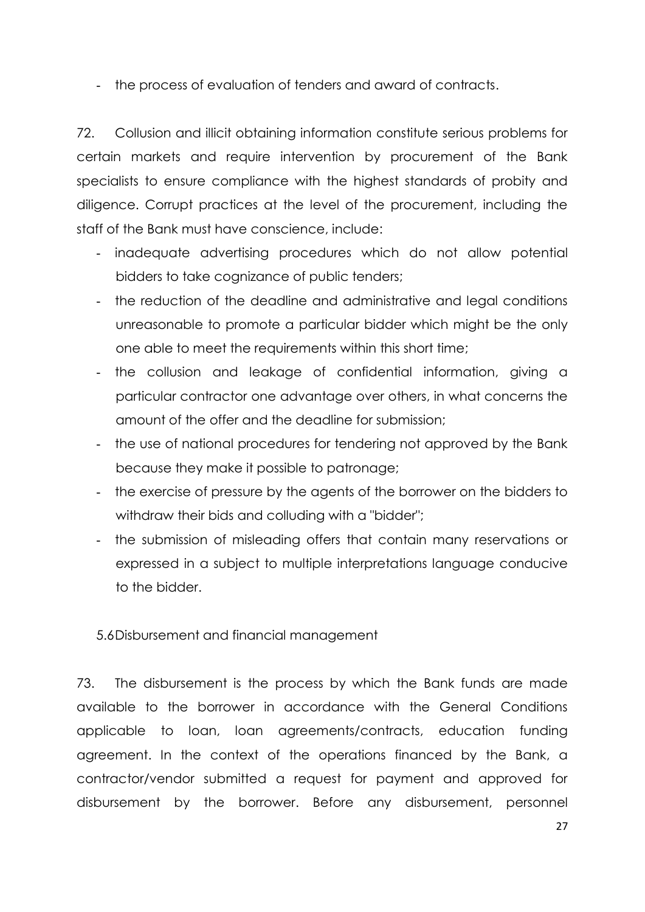- the process of evaluation of tenders and award of contracts.

72. Collusion and illicit obtaining information constitute serious problems for certain markets and require intervention by procurement of the Bank specialists to ensure compliance with the highest standards of probity and diligence. Corrupt practices at the level of the procurement, including the staff of the Bank must have conscience, include:

- inadequate advertising procedures which do not allow potential bidders to take cognizance of public tenders;
- the reduction of the deadline and administrative and legal conditions unreasonable to promote a particular bidder which might be the only one able to meet the requirements within this short time;
- the collusion and leakage of confidential information, giving a particular contractor one advantage over others, in what concerns the amount of the offer and the deadline for submission;
- the use of national procedures for tendering not approved by the Bank because they make it possible to patronage;
- the exercise of pressure by the agents of the borrower on the bidders to withdraw their bids and colluding with a "bidder";
- the submission of misleading offers that contain many reservations or expressed in a subject to multiple interpretations language conducive to the bidder.

### 5.6Disbursement and financial management

73. The disbursement is the process by which the Bank funds are made available to the borrower in accordance with the General Conditions applicable to loan, loan agreements/contracts, education funding agreement. In the context of the operations financed by the Bank, a contractor/vendor submitted a request for payment and approved for disbursement by the borrower. Before any disbursement, personnel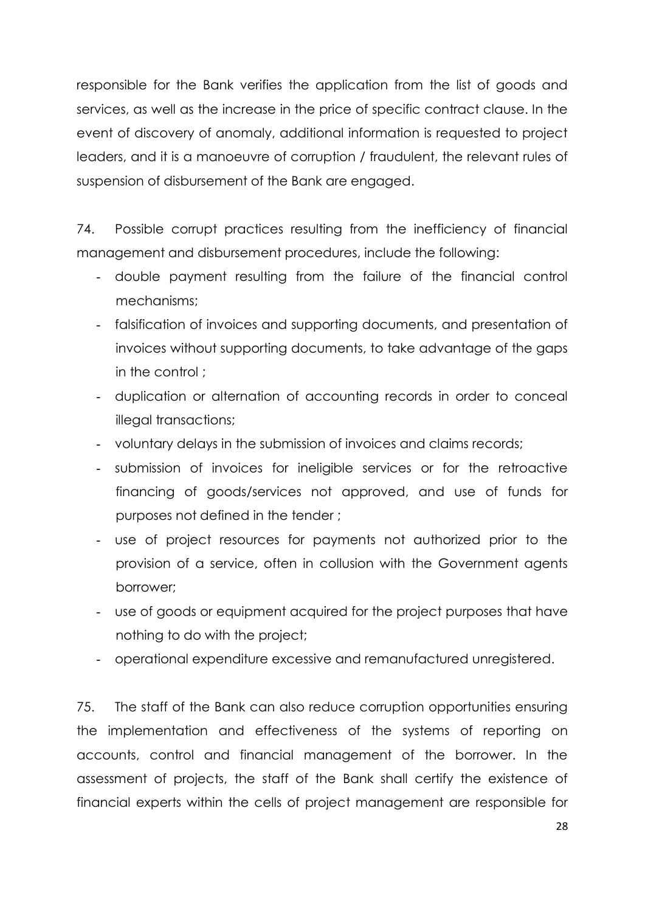responsible for the Bank verifies the application from the list of goods and services, as well as the increase in the price of specific contract clause. In the event of discovery of anomaly, additional information is requested to project leaders, and it is a manoeuvre of corruption / fraudulent, the relevant rules of suspension of disbursement of the Bank are engaged.

74. Possible corrupt practices resulting from the inefficiency of financial management and disbursement procedures, include the following:

- double payment resulting from the failure of the financial control mechanisms;
- falsification of invoices and supporting documents, and presentation of invoices without supporting documents, to take advantage of the gaps in the control;
- duplication or alternation of accounting records in order to conceal illegal transactions;
- voluntary delays in the submission of invoices and claims records;
- submission of invoices for ineligible services or for the retroactive financing of goods/services not approved, and use of funds for purposes not defined in the tender ;
- use of project resources for payments not authorized prior to the provision of a service, often in collusion with the Government agents borrower;
- use of goods or equipment acquired for the project purposes that have nothing to do with the project;
- operational expenditure excessive and remanufactured unregistered.

75. The staff of the Bank can also reduce corruption opportunities ensuring the implementation and effectiveness of the systems of reporting on accounts, control and financial management of the borrower. In the assessment of projects, the staff of the Bank shall certify the existence of financial experts within the cells of project management are responsible for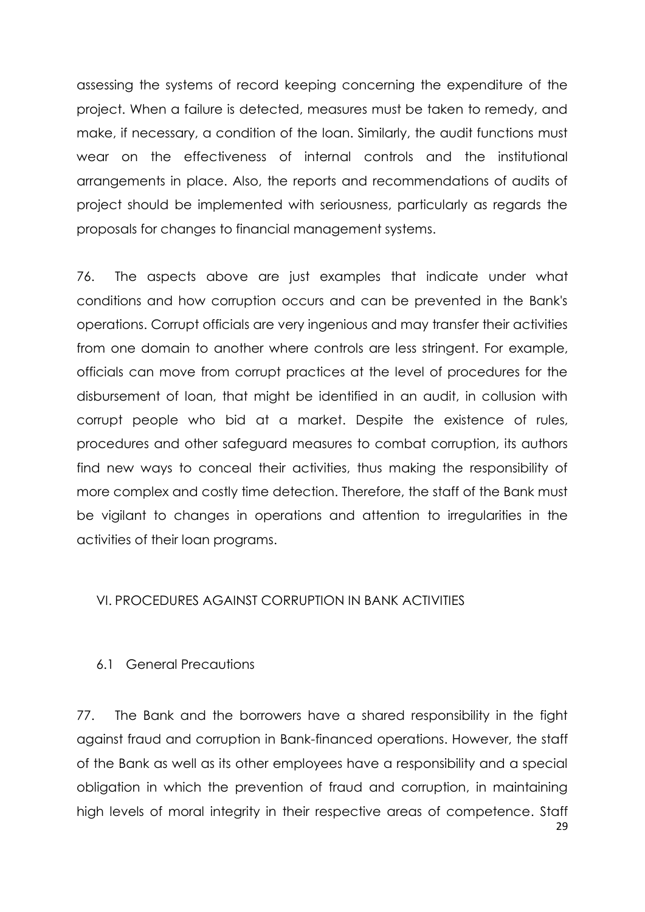assessing the systems of record keeping concerning the expenditure of the project. When a failure is detected, measures must be taken to remedy, and make, if necessary, a condition of the loan. Similarly, the audit functions must wear on the effectiveness of internal controls and the institutional arrangements in place. Also, the reports and recommendations of audits of project should be implemented with seriousness, particularly as regards the proposals for changes to financial management systems.

76. The aspects above are just examples that indicate under what conditions and how corruption occurs and can be prevented in the Bank's operations. Corrupt officials are very ingenious and may transfer their activities from one domain to another where controls are less stringent. For example, officials can move from corrupt practices at the level of procedures for the disbursement of loan, that might be identified in an audit, in collusion with corrupt people who bid at a market. Despite the existence of rules, procedures and other safeguard measures to combat corruption, its authors find new ways to conceal their activities, thus making the responsibility of more complex and costly time detection. Therefore, the staff of the Bank must be vigilant to changes in operations and attention to irregularities in the activities of their loan programs.

### <span id="page-34-0"></span>VI. PROCEDURES AGAINST CORRUPTION IN BANK ACTIVITIES

### <span id="page-34-1"></span>6.1 General Precautions

29 77. The Bank and the borrowers have a shared responsibility in the fight against fraud and corruption in Bank-financed operations. However, the staff of the Bank as well as its other employees have a responsibility and a special obligation in which the prevention of fraud and corruption, in maintaining high levels of moral integrity in their respective areas of competence. Staff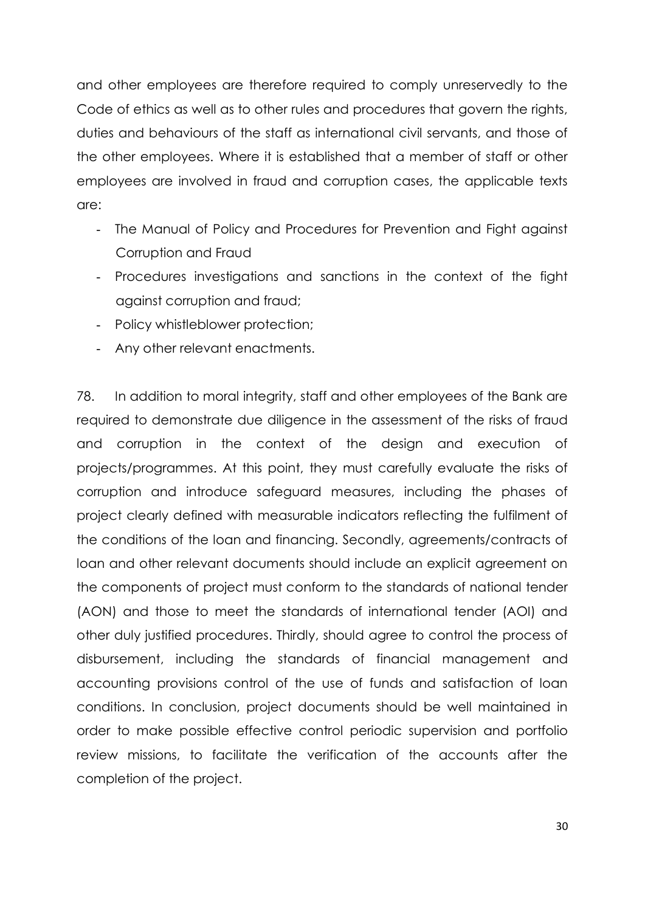and other employees are therefore required to comply unreservedly to the Code of ethics as well as to other rules and procedures that govern the rights, duties and behaviours of the staff as international civil servants, and those of the other employees. Where it is established that a member of staff or other employees are involved in fraud and corruption cases, the applicable texts are:

- The Manual of Policy and Procedures for Prevention and Fight against Corruption and Fraud
- Procedures investigations and sanctions in the context of the fight against corruption and fraud;
- Policy whistleblower protection;
- Any other relevant enactments.

78. In addition to moral integrity, staff and other employees of the Bank are required to demonstrate due diligence in the assessment of the risks of fraud and corruption in the context of the design and execution of projects/programmes. At this point, they must carefully evaluate the risks of corruption and introduce safeguard measures, including the phases of project clearly defined with measurable indicators reflecting the fulfilment of the conditions of the loan and financing. Secondly, agreements/contracts of loan and other relevant documents should include an explicit agreement on the components of project must conform to the standards of national tender (AON) and those to meet the standards of international tender (AOI) and other duly justified procedures. Thirdly, should agree to control the process of disbursement, including the standards of financial management and accounting provisions control of the use of funds and satisfaction of loan conditions. In conclusion, project documents should be well maintained in order to make possible effective control periodic supervision and portfolio review missions, to facilitate the verification of the accounts after the completion of the project.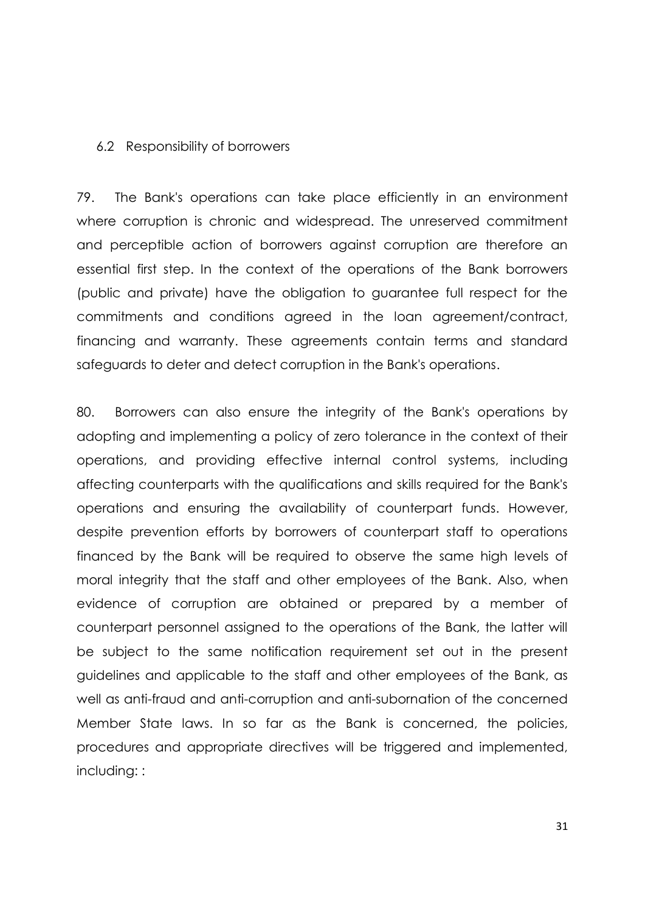#### <span id="page-36-0"></span>6.2 Responsibility of borrowers

79. The Bank's operations can take place efficiently in an environment where corruption is chronic and widespread. The unreserved commitment and perceptible action of borrowers against corruption are therefore an essential first step. In the context of the operations of the Bank borrowers (public and private) have the obligation to guarantee full respect for the commitments and conditions agreed in the loan agreement/contract, financing and warranty. These agreements contain terms and standard safeguards to deter and detect corruption in the Bank's operations.

80. Borrowers can also ensure the integrity of the Bank's operations by adopting and implementing a policy of zero tolerance in the context of their operations, and providing effective internal control systems, including affecting counterparts with the qualifications and skills required for the Bank's operations and ensuring the availability of counterpart funds. However, despite prevention efforts by borrowers of counterpart staff to operations financed by the Bank will be required to observe the same high levels of moral integrity that the staff and other employees of the Bank. Also, when evidence of corruption are obtained or prepared by a member of counterpart personnel assigned to the operations of the Bank, the latter will be subject to the same notification requirement set out in the present guidelines and applicable to the staff and other employees of the Bank, as well as anti-fraud and anti-corruption and anti-subornation of the concerned Member State laws. In so far as the Bank is concerned, the policies, procedures and appropriate directives will be triggered and implemented, including: :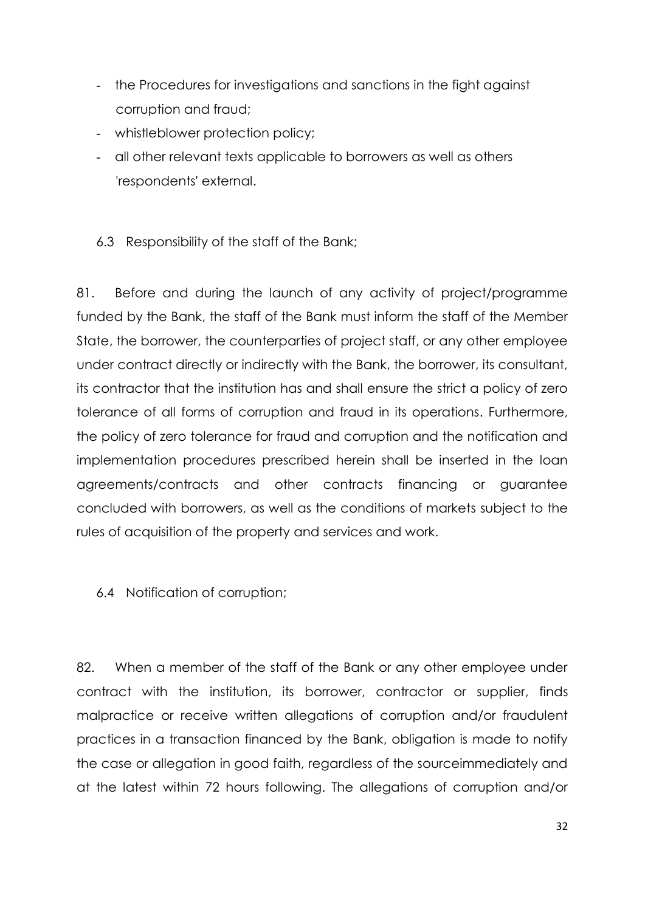- the Procedures for investigations and sanctions in the fight against corruption and fraud;
- whistleblower protection policy;
- all other relevant texts applicable to borrowers as well as others 'respondents' external.
- <span id="page-37-0"></span>6.3 Responsibility of the staff of the Bank;

81. Before and during the launch of any activity of project/programme funded by the Bank, the staff of the Bank must inform the staff of the Member State, the borrower, the counterparties of project staff, or any other employee under contract directly or indirectly with the Bank, the borrower, its consultant, its contractor that the institution has and shall ensure the strict a policy of zero tolerance of all forms of corruption and fraud in its operations. Furthermore, the policy of zero tolerance for fraud and corruption and the notification and implementation procedures prescribed herein shall be inserted in the loan agreements/contracts and other contracts financing or guarantee concluded with borrowers, as well as the conditions of markets subject to the rules of acquisition of the property and services and work.

<span id="page-37-1"></span>6.4 Notification of corruption;

82. When a member of the staff of the Bank or any other employee under contract with the institution, its borrower, contractor or supplier, finds malpractice or receive written allegations of corruption and/or fraudulent practices in a transaction financed by the Bank, obligation is made to notify the case or allegation in good faith, regardless of the sourceimmediately and at the latest within 72 hours following. The allegations of corruption and/or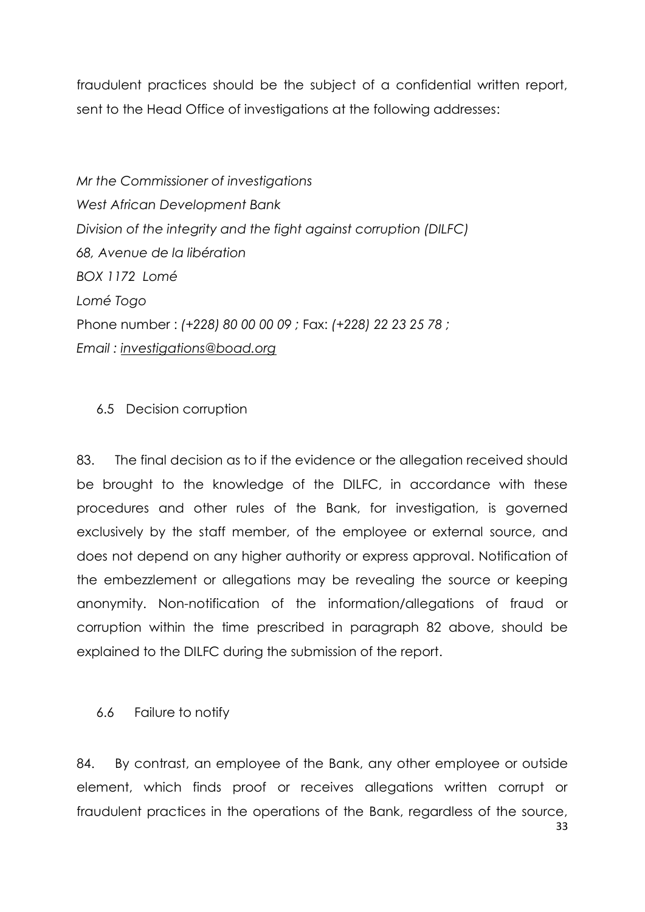fraudulent practices should be the subject of a confidential written report, sent to the Head Office of investigations at the following addresses:

*Mr the Commissioner of investigations West African Development Bank Division of the integrity and the fight against corruption (DILFC) 68, Avenue de la libération BOX 1172 Lomé Lomé Togo* Phone number : *(+228) 80 00 00 09 ;* Fax: *(+228) 22 23 25 78 ; Email : [investigations@boad.org](mailto:investigations@boad.org)*

### <span id="page-38-0"></span>6.5 Decision corruption

83. The final decision as to if the evidence or the allegation received should be brought to the knowledge of the DILFC, in accordance with these procedures and other rules of the Bank, for investigation, is governed exclusively by the staff member, of the employee or external source, and does not depend on any higher authority or express approval. Notification of the embezzlement or allegations may be revealing the source or keeping anonymity. Non-notification of the information/allegations of fraud or corruption within the time prescribed in paragraph 82 above, should be explained to the DILFC during the submission of the report.

### <span id="page-38-1"></span>6.6 Failure to notify

84. By contrast, an employee of the Bank, any other employee or outside element, which finds proof or receives allegations written corrupt or fraudulent practices in the operations of the Bank, regardless of the source,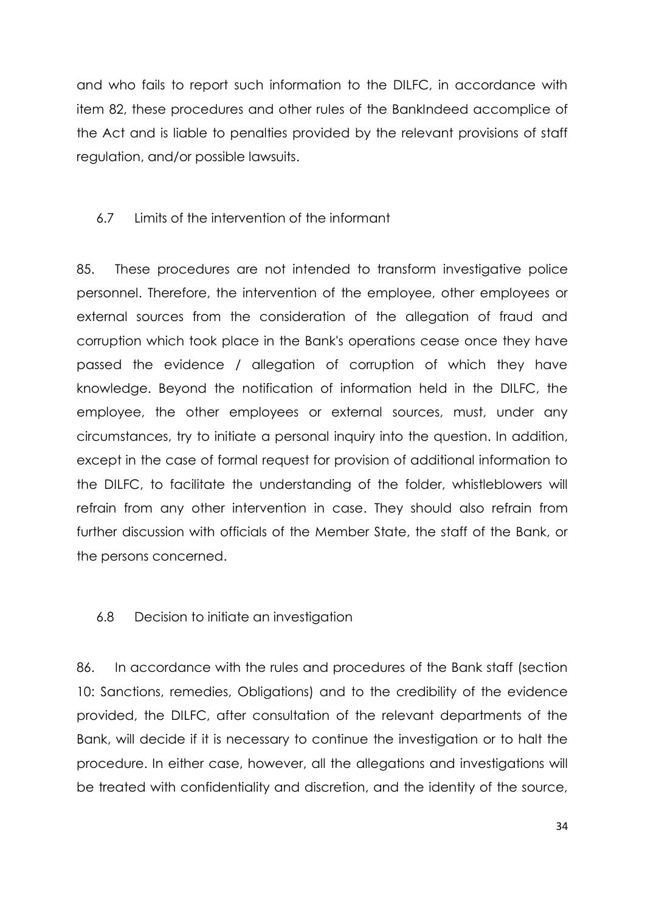and who fails to report such information to the DILFC, in accordance with item 82, these procedures and other rules of the BankIndeed accomplice of the Act and is liable to penalties provided by the relevant provisions of staff regulation, and/or possible lawsuits.

### <span id="page-39-0"></span>6.7 Limits of the intervention of the informant

85. These procedures are not intended to transform investigative police personnel. Therefore, the intervention of the employee, other employees or external sources from the consideration of the allegation of fraud and corruption which took place in the Bank's operations cease once they have passed the evidence / allegation of corruption of which they have knowledge. Beyond the notification of information held in the DILFC, the employee, the other employees or external sources, must, under any circumstances, try to initiate a personal inquiry into the question. In addition, except in the case of formal request for provision of additional information to the DILFC, to facilitate the understanding of the folder, whistleblowers will refrain from any other intervention in case. They should also refrain from further discussion with officials of the Member State, the staff of the Bank, or the persons concerned.

### <span id="page-39-1"></span>6.8 Decision to initiate an investigation

86. In accordance with the rules and procedures of the Bank staff (section 10: Sanctions, remedies, Obligations) and to the credibility of the evidence provided, the DILFC, after consultation of the relevant departments of the Bank, will decide if it is necessary to continue the investigation or to halt the procedure. In either case, however, all the allegations and investigations will be treated with confidentiality and discretion, and the identity of the source,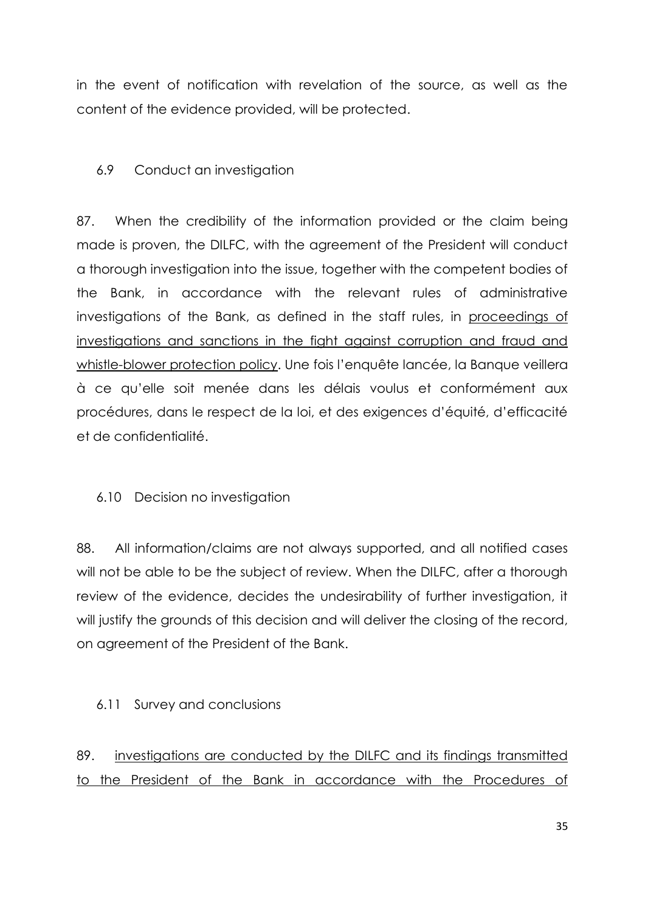in the event of notification with revelation of the source, as well as the content of the evidence provided, will be protected.

## <span id="page-40-0"></span>6.9 Conduct an investigation

87. When the credibility of the information provided or the claim being made is proven, the DILFC, with the agreement of the President will conduct a thorough investigation into the issue, together with the competent bodies of the Bank, in accordance with the relevant rules of administrative investigations of the Bank, as defined in the staff rules, in proceedings of investigations and sanctions in the fight against corruption and fraud and whistle-blower protection policy. Une fois l'enquête lancée, la Banque veillera à ce qu'elle soit menée dans les délais voulus et conformément aux procédures, dans le respect de la loi, et des exigences d'équité, d'efficacité et de confidentialité.

### <span id="page-40-1"></span>6.10 Decision no investigation

88. All information/claims are not always supported, and all notified cases will not be able to be the subject of review. When the DILFC, after a thorough review of the evidence, decides the undesirability of further investigation, it will justify the grounds of this decision and will deliver the closing of the record, on agreement of the President of the Bank.

### <span id="page-40-2"></span>6.11 Survey and conclusions

89. investigations are conducted by the DILFC and its findings transmitted to the President of the Bank in accordance with the Procedures of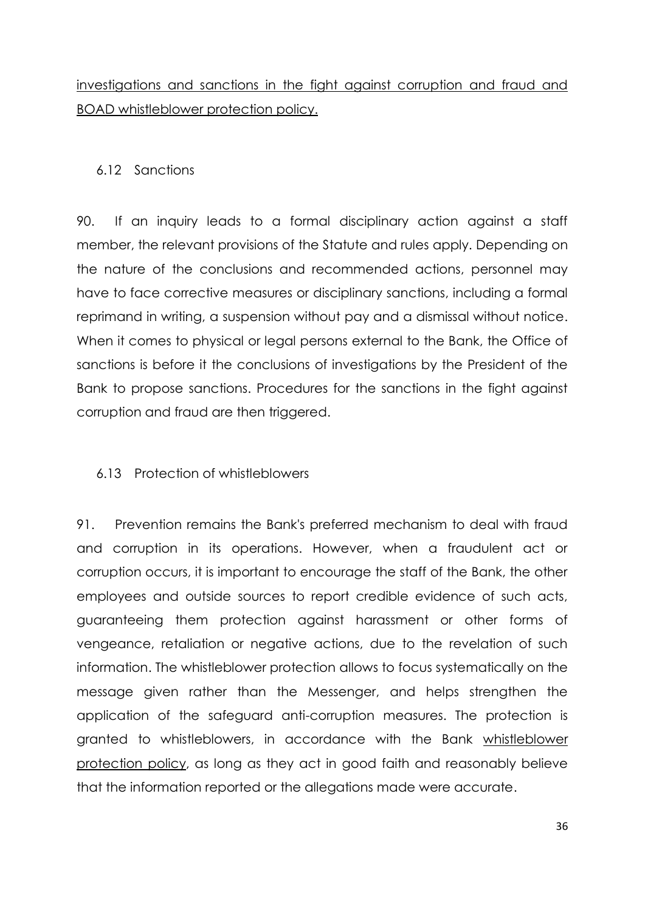investigations and sanctions in the fight against corruption and fraud and BOAD whistleblower protection policy.

### <span id="page-41-0"></span>6.12 Sanctions

90. If an inquiry leads to a formal disciplinary action against a staff member, the relevant provisions of the Statute and rules apply. Depending on the nature of the conclusions and recommended actions, personnel may have to face corrective measures or disciplinary sanctions, including a formal reprimand in writing, a suspension without pay and a dismissal without notice. When it comes to physical or legal persons external to the Bank, the Office of sanctions is before it the conclusions of investigations by the President of the Bank to propose sanctions. Procedures for the sanctions in the fight against corruption and fraud are then triggered.

### <span id="page-41-1"></span>6.13 Protection of whistleblowers

91. Prevention remains the Bank's preferred mechanism to deal with fraud and corruption in its operations. However, when a fraudulent act or corruption occurs, it is important to encourage the staff of the Bank, the other employees and outside sources to report credible evidence of such acts, guaranteeing them protection against harassment or other forms of vengeance, retaliation or negative actions, due to the revelation of such information. The whistleblower protection allows to focus systematically on the message given rather than the Messenger, and helps strengthen the application of the safeguard anti-corruption measures. The protection is granted to whistleblowers, in accordance with the Bank whistleblower protection policy, as long as they act in good faith and reasonably believe that the information reported or the allegations made were accurate.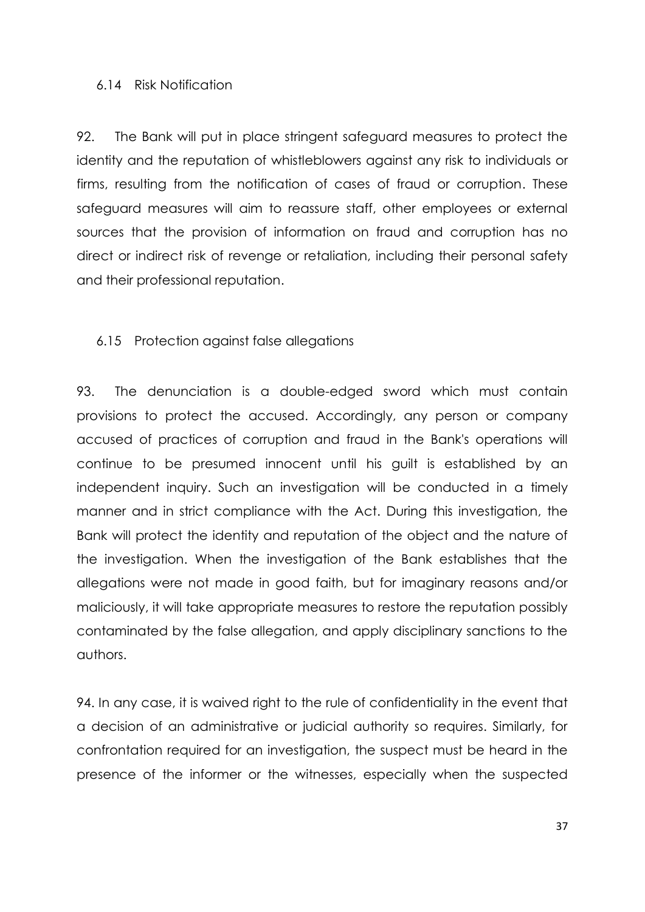### <span id="page-42-0"></span>6.14 Risk Notification

92. The Bank will put in place stringent safeguard measures to protect the identity and the reputation of whistleblowers against any risk to individuals or firms, resulting from the notification of cases of fraud or corruption. These safeguard measures will aim to reassure staff, other employees or external sources that the provision of information on fraud and corruption has no direct or indirect risk of revenge or retaliation, including their personal safety and their professional reputation.

## <span id="page-42-1"></span>6.15 Protection against false allegations

93. The denunciation is a double-edged sword which must contain provisions to protect the accused. Accordingly, any person or company accused of practices of corruption and fraud in the Bank's operations will continue to be presumed innocent until his guilt is established by an independent inquiry. Such an investigation will be conducted in a timely manner and in strict compliance with the Act. During this investigation, the Bank will protect the identity and reputation of the object and the nature of the investigation. When the investigation of the Bank establishes that the allegations were not made in good faith, but for imaginary reasons and/or maliciously, it will take appropriate measures to restore the reputation possibly contaminated by the false allegation, and apply disciplinary sanctions to the authors.

94. In any case, it is waived right to the rule of confidentiality in the event that a decision of an administrative or judicial authority so requires. Similarly, for confrontation required for an investigation, the suspect must be heard in the presence of the informer or the witnesses, especially when the suspected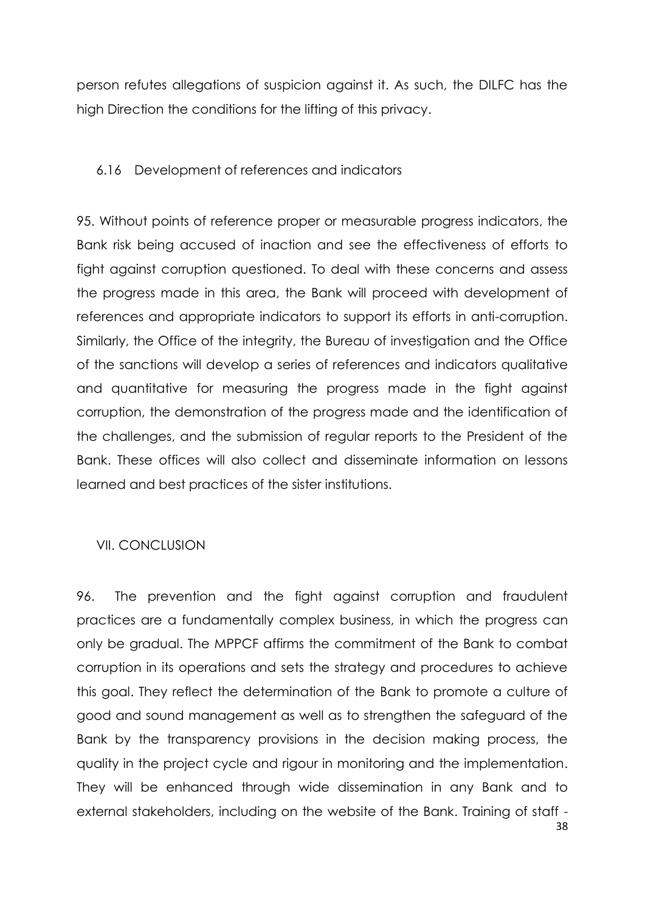person refutes allegations of suspicion against it. As such, the DILFC has the high Direction the conditions for the lifting of this privacy.

### <span id="page-43-0"></span>6.16 Development of references and indicators

95. Without points of reference proper or measurable progress indicators, the Bank risk being accused of inaction and see the effectiveness of efforts to fight against corruption questioned. To deal with these concerns and assess the progress made in this area, the Bank will proceed with development of references and appropriate indicators to support its efforts in anti-corruption. Similarly, the Office of the integrity, the Bureau of investigation and the Office of the sanctions will develop a series of references and indicators qualitative and quantitative for measuring the progress made in the fight against corruption, the demonstration of the progress made and the identification of the challenges, and the submission of regular reports to the President of the Bank. These offices will also collect and disseminate information on lessons learned and best practices of the sister institutions.

### <span id="page-43-1"></span>VII. CONCLUSION

96. The prevention and the fight against corruption and fraudulent practices are a fundamentally complex business, in which the progress can only be gradual. The MPPCF affirms the commitment of the Bank to combat corruption in its operations and sets the strategy and procedures to achieve this goal. They reflect the determination of the Bank to promote a culture of good and sound management as well as to strengthen the safeguard of the Bank by the transparency provisions in the decision making process, the quality in the project cycle and rigour in monitoring and the implementation. They will be enhanced through wide dissemination in any Bank and to external stakeholders, including on the website of the Bank. Training of staff -